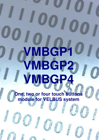# **VMBGP1 VMBGP2 VMBGP4**

**One, two or four touch buttons module for VELBUS system** 

**VMBGP1 / VMBGP2 / VMBGP4 PROTOCOL – edition 2** 1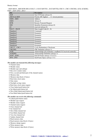# Binairy format:

 <SOF-SID10...SID0-RTR-IDE-r0-DLC3...0-DATABYTE1...DATABYTEn-CRC15...CRC1-CRCDEL-ACK-ACKDEL-EOF7...EOF1-IFS3...IFS1>

| <b>bits</b>      | <b>Description</b>                                             |
|------------------|----------------------------------------------------------------|
| <b>SOF</b>       | Start Of Frame (always 0)                                      |
| SID10 & SID9     | Priority (00: highest  11: lowest priority)                    |
| SID8SID1         | Address                                                        |
| SID <sub>0</sub> | Always 0                                                       |
| <b>RTR</b>       | <b>Remote Transmit Request</b>                                 |
| <b>IDE</b>       | Identifier Extension (always 0)                                |
| r <sub>0</sub>   | reserved (always 0)                                            |
| DLC3DLC0         | Data Length Code (08)                                          |
| Databyte1        | Command                                                        |
| Databyte2        | Parameter                                                      |
| Databyte3        | Parameter                                                      |
| Databyte4        | Parameter                                                      |
| Databyte5        | Parameter                                                      |
| Databyte6        | Parameter                                                      |
| Databyte7        | Parameter                                                      |
| Databyte8        | Parameter                                                      |
| CRC15CRC1        | <b>Cyclic Redundancy Checksum</b>                              |
| <b>CRCDEL</b>    | CRC Delimiter (always 1)                                       |
| <b>ACK</b>       | Acknowledge slot (transmit 1 readback 0 if received correctly) |
| <b>ACKDEL</b>    | Acknowledge Delimiter (always 1)                               |
| EOF7EOF1         | End Of Frame (always 1111111)                                  |
| IFS3IFS1         | InterFrame Space (always 111)                                  |

#### *The module can transmit the following messages:*

- Channel status
- Module status
- Module type and subtype
- Bus error counter status
- First, second and third part of the channel names
- Memory data
- Memory data block (4 bytes)
- Real-time clock status
- Date status
- Daylight savings status
- Real-time clock status request
- Clear linked push button led
- Set linked push button led
- Slow blink linked push button led
- Fast blink linked push button led

# *The module can receive the following commands:*

- Linked push button status
- Module type request
- Module status request
- Channel name request
- Clear channel led
- Set channel led
- Slow blink channel led
- Fast blink channel led
- Very fast channel led
- Update channel leds
- Read memory data
- Read memory data block (4 bytes)
- Memory dump request
- Write memory data
- Write memory data block (4 bytes)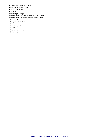- Bus error counter status request
- Real-time clock status request
- Set real-time clock
- Set date
- Set daylight savings
- Enable/disable global sunrise/sunset related actions
- Enable/disable local sunrise/sunset related actions
- Set local alarm clock
- Set global alarm clock
- Lock channel
- Unlock channel
- Disable channel program
- Enable channel program
- Select program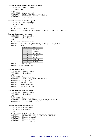*Transmits power up message (build 1415 or higher):*   $SID10-SID9 = 11$  (lowest priority)  $SID8...SID1 = H'00'$  $RTR = 0$  $DLC3...DLC0 = 2$  databyte to send DATABYTE1 = COMMAND\_POWER\_UP (H'AB') DATABYTE2 = module address

# *Transmits real time clock status request:*

 $SID10-SID9 = 11$  (lowest priority)  $SID8...SID1 = H'00'$  $RTR = 0$  $DLC3...DLC0 = 1$  databyte to send DATABYTE1 = COMMAND\_REALTIME\_CLOCK\_STATUS\_REQUEST (H'D7')

# *Transmits the real time clock status:*

 $SID10-SID9 = 11$  (lowest priority) SID8...SID1 = Module address  $RTR = 0$ DLC3...DLC0 = 4 databytes to send DATABYTE1 = COMMAND\_REALTIME\_CLOCK\_STATUS (H'D8') DATABYTE2 = Day

| Contents | Day       |
|----------|-----------|
|          | Monday    |
|          | Tuesday   |
| 2        | Wednesday |
|          | Thursday  |
|          | Friday    |
|          | Saturday  |
|          | Sunday    |

 $DATABYTE3 = Hour (0...23)$  $DATABYTE4 = Minute (0...59)$ 

# *Transmits the date status:*

 $SID10-SID9 = 11$  (lowest priority) SID8...SID1 = Module address  $RTR = 0$  $DLC3...DLC0 = 5$  databytes to send DATABYTE1 = COMMAND\_DATE\_STATUS (H'B7')  $DATABYTE2 = Day (1...31)$  $DATABYTE3 = Month(1...12)$ DATABYTE4 = High byte of Year DATABYTE5 = Low byte of Year

# *Transmits the daylight savings status:*

 $SID10-SID9 = 11$  (lowest priority)  $SID8...SID1 = Module address$  $RTR = 0$  $DLC3...DLC0 = 2$  databytes to send DATABYTE1 = COMMAND\_DAYLIGHT\_SAVING\_STATUS (H'AF')  $DATABYTE2 = 0 = disabled / 1 = enabled$ 

# *Transmits the channel switch status:*

 $SID10-SID9 = 00$  (highest priority) SID8...SID1 = Module address  $RTR = 0$  $DLC3...DLC0 = 4$  databytes to send DATABYTE1 = COMMAND\_PUSH\_BUTTON\_STATUS (H'00') DATABYTE2 = Channel just pressed DATABYTE3 = Channel just released DATABYTE4 = Channel long pressed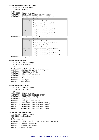| Transmits the sensor output switch status: |                         |                                                                  |  |
|--------------------------------------------|-------------------------|------------------------------------------------------------------|--|
| $SID10-SID9 = 00$ (highest priority)       |                         |                                                                  |  |
|                                            | $SID8SID1 = Subaddress$ |                                                                  |  |
| $RTR = 0$                                  |                         |                                                                  |  |
| $DLC3DLC0 = 4$ databytes to send           |                         |                                                                  |  |
|                                            |                         | DATABYTE1 = COMMAND_OUTPUT_STATUS (H'00')                        |  |
|                                            |                         | $DATABYTE2 = Output channel just activated (1 = just activated)$ |  |
|                                            | Contents                | Output channel                                                   |  |
|                                            | xxxxxxx1                | Heater just activated                                            |  |
|                                            | xxxxxx1x                | Boost heater/cooler just activated                               |  |
|                                            | xxxxx1xx                | Pump just activated                                              |  |
|                                            | xxxx1xxx                | Cooler just activated                                            |  |
|                                            | xxx1xxxx                | Temperature alarm 1 just activated                               |  |
|                                            | xx1xxxxx                | Temperature alarm 2 alarm activated                              |  |
|                                            | x1xxxxxx                | Temperature alarm 3 just activated                               |  |
|                                            | 1xxxxxxx                | Temperature alarm 4 alarm activated                              |  |
|                                            |                         | $DATABYTE3 = Outputs$ just deactivated $(1 = just$ deactivated)  |  |
|                                            | Contents                | Output channel                                                   |  |
|                                            | xxxxxxx1                | Heater just deactivated                                          |  |
|                                            | xxxxxx1x                | Boost heater/cooler just deactivated                             |  |
|                                            | xxxxx1xx                | Pump just deactivated                                            |  |
|                                            | xxxx1xxx                | Cooler just deactivated                                          |  |
|                                            | xxx1xxxx                | Temperature alarm 1 just deactivated                             |  |
|                                            | xx1xxxx                 | Temperature alarm 2 alarm deactivated                            |  |
|                                            | x1xxxxxx                | Temperature alarm 3 just deactivated                             |  |
|                                            | 1xxxxxxx                | Temperature alarm 4 alarm deactivated                            |  |

DATABYTE4 = always zero

#### *Transmits the module type:*

 $SID10-SID9 = 11$  (lowest priority) SID8...SID1 = Module address  $RTR = 0$ DLC3...DLC0 = 7 databytes to send DATABYTE1 = COMMAND\_MODULE\_TYPE (H'FF')  $DATABYTE2 = VMBGP1 type (H'1E')$ DATABYTE3 = High byte of serial number DATABYTE4 = Low byte of serial number DATABYTE5 = Memorymap version DATABYTE6 = Build year DATABYTE7 = Build week

#### *Transmits the module subtype:*

 $SID10-SID9 = 11$  (lowest priority) SID8...SID1 = Module address  $RTR = 0$ DLC3...DLC0 = 8 databytes to send DATABYTE1 = COMMAND\_SUBTYPE (H'B0') DATABYTE2 = VMBGP1 type (H'1E') DATABYTE3 = High byte of serial number DATABYTE4 = Low byte of serial number DATABYTE5 = Subaddress1 (H'FF' subaddress disabled) DATABYTE6 = Subaddress2 (H'FF' subaddress disabled) DATABYTE7 = Subaddress3 (H'FF' subaddress disabled) DATABYTE8 = Subaddress4 (H'FF' subaddress disabled)

#### *Transmit: Bus error counter status*

 $SID10-SID9 = 11$  (lowest priority) SID8...SID1 = Module address  $RTR = 0$  $DLC3...DLC0 = 4$  databytes to send DATABYTE1 = COMMAND\_BUSERROR\_COUNTER\_STATUS (H'DA') DATABYTE2 = Transmit error counter DATABYTE3 = Receive error counter DATABYTE4 = Bus off counter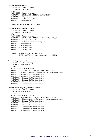*Transmits the memory data:*   $SID10-SID9 = 11$  (lowest priority) SID8...SID1 = Module address  $RTR = 0$  $DLC3...DLC0 = 4$  databytes to send DATABYTE1 = COMMAND\_MEMORY\_DATA (H'FE') DATABYTE2 = High memory address DATABYTE3 = LOW memory address DATABYTE4 = memory data

Remark: address range: H'0000' to H'03FF'

*Transmits memory data block (4 bytes):*

 $SID10-SID9 = 11$  (lowest priority)  $SID8...SID1 = Module address$  $RTR = 0$  $DLC3...DLC0 = 7$  databytes to send DATABYTE1 = COMMAND\_MEMORY\_DATA\_BLOCK (H'CC') DATABYTE2 = High start address of memory block DATABYTE3 = LOW start address of memory block DATABYTE4 = memory data1 DATABYTE5 = memory data2 DATABYTE6 = memory data3 DATABYTE7 = memory data4

Remark: address range: H'0000' to H'03FC' H'0400' to H'07FC' = eeprom data (build 1521 or higher)

#### *Transmits the first part of channel name:*

 $SID10-SID9 = 11$  (lowest priority) SID8...SID1 = Module address  $RTR = 0$  $DLC3...DLC0 = 8$  databytes to send DATABYTE1 = COMMAND\_CHANNEL\_NAME\_PART1 (H'F0')  $DATABYTE2 = channel number 1...9 (channel 9 = temperature sensor name)$ DATABYTE3 = Character 1 of the channel name DATABYTE4 = Character 2 of the channel name DATABYTE5 = Character 3 of the channel name DATABYTE6 = Character 4 of the channel name DATABYTE7 = Character 5 of the channel name DATABYTE8 = Character 6 of the channel name

#### *Transmits the second part of the channel name:*

 $SID10-SID9 = 11$  (lowest priority) SID8...SID1 = Module address  $RTR = 0$ DLC3...DLC0 = 8 databytes to send DATABYTE1 = COMMAND\_CHANNEL\_NAME\_PART2 (H'F1')  $DATABYTE2 = Channel number 1...9$  (channel 9 = temperature sensor name) DATABYTE3 = Character 7 of the channel name DATABYTE4 = Character 8 of the channel name DATABYTE5 = Character 9 of the channel name DATABYTE6 = Character 10 of the channel name DATABYTE7 = Character 11 of the channel name

DATABYTE8 = Character 12 of the channel name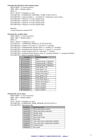*Transmits the third part of the channel name:*   $SID10-SID9 = 11$  (lowest priority) SID8...SID1 = Module address  $RTR = 0$ DLC3...DLC0 = 6 databytes to send DATABYTE1 = COMMAND\_CHANNEL\_NAME\_PART3 (H'F2')  $DATABYTE2 = channel number 1...9 (channel 9 = temperature sensor name)$ DATABYTE3 = Character 13 of the channel name DATABYTE4 = Character 14 of the channel name DATABYTE5 = Character 15 of the channel name DATABYTE6 = Character 16 of the channel name

Remarks:

Unused characters contain H'FF'.

# *Transmits the module status:*

 $SID10-SID9 = 11$  (lowest priority) SID8...SID1 = Module address  $RTR = 0$  $DLC3...DLC0 = 7$  databytes to send DATABYTE1 = COMMAND\_MODULE\_STATUS (H'ED') DATABYTE2 = channel 1 to 8 status (1 = pressed  $/ 0$  = released) DATABYTE3 = enabled/disable channel status  $(1 =$  enabled  $/ 0 =$  disabled) DATABYTE4 = normal/inverted channel status  $(1 = normal / 0 = inverted)$ DATABYTE5 = locked channel status  $(0 = \text{unlocked } / 1 = \text{locked})$ DATABYTE6 = disabled channel program status  $(0 = p \cdot \text{logram enabled} / 1 = \text{program disabled})$ 

 $DATABYTE7 = alarm & program selection$ 

| <b>Contents</b>       | <b>Selected program</b>   |
|-----------------------|---------------------------|
| B'xxxxx00'            | None                      |
| B'xxxxx01'            | Program group 1 (Summer)  |
| B'xxxxx10'            | Program group 2 (Winter)  |
| B'xxxxx11'            | Program group 3 (Holiday) |
| B'xxxxx0xx'           | Clock alarm 1 off         |
| B'xxxxx1xx'           | Clock alarm 1 on          |
| B'xxxx0xxx'           | Local clock alarm 1       |
| B'xxxx1xxx'           | Global clock alarm 1      |
| B'xxx0xxxx'           | Clock alarm 2 off         |
| $B'$ xxx $1$ xxx $x'$ | Clock alarm 2 on          |
| B'xx0xxxx'            | Local clock alarm 2       |
| B'xx1xxxx'            | Global clock alarm 2      |
| B'x0xxxxxx'           | Sunrise disabled          |
| B'x1xxxxxx'           | Sunrise enabled           |
| B'0xxxxxx'            | Sunset disabled           |
| B'1xxxxxx'            | Sunset enabled            |

#### *Transmit the sensor status:*

 $SID10-SID9 = 11$  (lowest priority) SID8...SID1 = Module address  $RTR = 0$ DLC3...DLC0 = 8 databytes to send DATABYTE1 = COMMAND\_TEMP\_SENSOR\_STATUS (H'EA') DATABYTE2 = Operating mode

| Contents      | Operating mode                        |
|---------------|---------------------------------------|
| xxxxxxx1      | Mode push button locked               |
| xxxxxxx0      | Mode push button unlocked             |
| $X$ xxx $11x$ | Disable mode                          |
| xxxxx01x      | Manual mode                           |
| xxxxx10x      | Sleep timer mode                      |
| xxxxx00x      | Run mode                              |
| xxxx1xxx      | Auto send sensor temperature enabled  |
| xxxx0xxx      | Auto send sensor temperature disabled |
| $x100$ xxxx   | Comfort mode                          |
| $x010$ xxxx   | Day mode                              |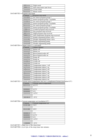|                                             | x001xxxx      | Night mode                                                                                      |
|---------------------------------------------|---------------|-------------------------------------------------------------------------------------------------|
|                                             | x000xxxx      | Safe temp mode (anti frost)                                                                     |
|                                             |               | Cooler mode                                                                                     |
|                                             | OXXXXXXX      | Heater mode                                                                                     |
| $DATABYTE3 = Program step mode$             |               |                                                                                                 |
|                                             | Contents      | Program step mode                                                                               |
|                                             | xxxxx0xx      | No sensor program group 1                                                                       |
|                                             | xxxxx1xx      | Sensor program group 1 available                                                                |
|                                             | xxxx0xxx      | No sensor program group 2                                                                       |
|                                             | xxxx1xxx      | Sensor program group 2 available                                                                |
|                                             | OXXXXXXX      | No sensor program group 3                                                                       |
|                                             |               | Sensor program group 3 available                                                                |
|                                             | $x100$ $xxxx$ | Comfort program step received                                                                   |
|                                             | $x010$ xxxx   | Day program step received                                                                       |
|                                             | $x001$ xxxx   | Night program step received                                                                     |
|                                             | X000xxxx      | Safe temperature program step received                                                          |
|                                             | xxxxxx1x      | Enable unjamming heater valve                                                                   |
|                                             | xxxxxx0x      | Disable unjamming heater valve                                                                  |
|                                             | xxxxxxx1      | Enable unjamming pump                                                                           |
|                                             | xxxxxxx0      | Disable unjamming pump                                                                          |
| $DATABYTE4 = Output status (1 = activated)$ |               |                                                                                                 |
|                                             | Contents      | Output channel                                                                                  |
|                                             | xxxxxxx0      | Heater off                                                                                      |
|                                             | xxxxxxx1      | Heater on                                                                                       |
|                                             | xxxxxx0x      | Boost heater/cooler off                                                                         |
|                                             | xxxxxx1x      | Boost heater/cooler on                                                                          |
|                                             | xxxxx0xx      | Pump off                                                                                        |
|                                             | xxxxx1xx      | Pump on                                                                                         |
|                                             | xxxx0xxx      | Cooler off                                                                                      |
|                                             | xxxx1xxx      | Cooler on                                                                                       |
|                                             | xxx0xxxx      | Temperature alarm 1 off                                                                         |
|                                             | xxx1xxxx      | Temperature alarm 1 on                                                                          |
|                                             | xx0xxxxx      | Temperature alarm 2 off                                                                         |
|                                             | xx1xxxxxx     | Temperature alarm 2 on                                                                          |
|                                             | x0xxxxxx      | Temperature alarm 3 off                                                                         |
|                                             | x1xxxxxx      | Temperature alarm 3 on                                                                          |
|                                             | OXXXXXXX      | Temperature alarm 4 off                                                                         |
|                                             | 1xxxxxxx      | Temperature alarm 4 on                                                                          |
|                                             |               | DATABYTE5 = Current sensor temperature into two's complement format (resolution $0.5^{\circ}$ ) |
|                                             | Contents      | Current sensor temperature                                                                      |
|                                             | 01111111      | $63.5^{\circ}$ C                                                                                |
|                                             |               |                                                                                                 |
|                                             | 00000001      | $0.5^{\circ}$ C                                                                                 |
|                                             | 00000000      | $0^{\circ}$ C                                                                                   |
|                                             | 11111111      | $-0.5$ °C                                                                                       |
|                                             |               |                                                                                                 |
|                                             | 10010010      | $-55^{\circ}$ C                                                                                 |
|                                             |               |                                                                                                 |
|                                             |               |                                                                                                 |

DATABYTE6 = Current temperature set (resolution  $0.5^{\circ}$ )

| Contents | Current temperature set |
|----------|-------------------------|
| 01101100 | $54^{\circ}$ C          |
|          |                         |
| 00101000 | $20^{\circ}$ C          |
|          |                         |
| 00000010 | $1^{\circ}C$            |
| 00000001 | $0.5^{\circ}$ C         |
| 00000000 | $0^{\circ}$ C           |
| 11111111 | $-0.5$ °C               |
|          |                         |
| 11000000 | $-32$ °C                |
|          |                         |

DATABYTE7 = High byte of the sleep timer

DATABYTE8 = Low byte of the sleep timer into minutes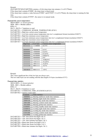Remark:

[DATABYTE7][DATABYTE8] contains a 16-bit sleep timer into minutes (1 to 65.279min).

If the sleep timer contains H'0000', the sleep timer is deactivated.

If the sleep timer contains a value between H'0001' and H'FEFF' (1 to 65.279min), the sleep timer is running for that time.

If the sleep timer contains H'FFFF', the sensor is in manual mode.

# *Transmit the sensor temperature:*

 $SID10-SID9 = 11$  (lowest priority)

SID8...SID1 = Module address

 $RTR = 0$ 

 $DLC3...DLC0 = 7$  databytes to send

DATABYTE1 = COMMAND\_SENSOR\_TEMPERATURE (H'E6')

DATABYTE2 = High byte current sensor temperature

 $DATABYTE3 = Low byte current sensor temperature into two's complement format (resolution 0.0625°)$ 

DATABYTE4 = High byte minimum sensor temperature

DATABYTE5 = Low byte minimum sensor temperature into two's complement format (resolution 0.0625°)

DATABYTE6 = High byte maximum sensor temperature

| DATABYTE7 = Low byte maximum sensor temperature into two's complement format (resolution $0.0625^{\circ}$ ) |
|-------------------------------------------------------------------------------------------------------------|
|-------------------------------------------------------------------------------------------------------------|

| High byte | Low byte | Current sensor temperature |
|-----------|----------|----------------------------|
| 01111111  | 11100000 | $63.5^{\circ}$ C           |
|           |          |                            |
| 00000001  | 00000000 | $0.5^{\circ}$ C            |
| 00000000  | 10000000 | $0.25^{\circ}$ C           |
| 00000000  | 01000000 | $0.125$ °C                 |
| 00000000  | 00100000 | $0.0625$ °C                |
| 00000000  | 00000000 | $0^{\circ}$ C              |
| 11111111  | 11111111 | $-0.0625$ °C               |
| 11111111  | 11011111 | $-0.125$ °C                |
| 11111111  | 10011111 | $-0.25$ °C                 |
| 11111110  | 00011111 | $-0.5$ °C                  |
|           |          |                            |
| 10010010  | 00011111 | $-55^{\circ}$ C            |

Remark:

The 5 least significant bits of the low byte are always zero.

The low order bytes are not sending with the data length of 4 bytes (resolution 0.5°C)

# *Transmit time statistics*

 $SID10-SID9 = 11$  (lowest priority)  $SID8...SID1 = Module address$  $RTR = 0$  $DLC3...DLC0 = 8$  databytes to send DATABYTE1 = COMMAND\_TIME\_STATISTICS (H'C8') DATABYTE2 = statistics mode index Contents Time statistics 10000001 Heating antifreeze mode time statistics 10000010 | Heating night mode time statistics 10000100 Heating day mode time statistics 10001000 Heating comfort mode time statistics<br>10010000 Heating global time statistics Heating global time statistics 01000001 Cooling standby mode time statistics 01000010 Cooling night mode time statistics 01000100 Cooling day mode time statistics 01001000 Cooling comfort mode time statistics 01010000 Cooling global time statistics

DATABYTE3 = 'ON' time (hours bcd digits  $4 \& 3$ )

DATABYTE4 = 'ON' time (hours bcd digits  $2 & 1$ )

DATABYTE5 = 'ON' time (minutes bcd digits  $2 \& 1$ )

DATABYTE6 = Mode time (hours bcd digits  $4 \& 3$ )

DATABYTE7 = Mode time (hours bcd digits  $2 & 1$ )

DATABYTE8 = Mode time (minutes bcd digits  $2 < 1$ )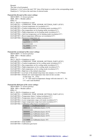Remark: The time is bcd formatted.

Databytes 3, 4 & 5 gives the total 'ON' time of the heater or cooler in the corresponding mode. Databytes 6, 7 & 8 gives the total time of selected mode.

# *Transmit the first part of the sensor settings:*

- $SID10-SID9 = 11$  (lowest priority)
- $SID8...SID1 = Module address$

 $RTR = 0$ 

- DLC3...DLC0 = 8 databytes to send
- DATABYTE1 = COMMAND\_TEMP\_SENSOR\_SETTINGS\_PART1 (H'E8')
- $DATABYTE2 = Current temperature set (resolution 0.5°)$
- $DATABYTE3 =$ Comfort temperature set for heating mode (resolution  $0.5^{\circ}$ )
- DATABYTE4 = Day temperature set for heating mode (resolution  $0.5^{\circ}$ )
- $DATABYTE5 = Night temperature set for heating mode (resolution 0.5°)$
- DATABYTE6 = Anti frost temperature set for heating mode (resolution  $0.5^{\circ}$ )
- $DATABYTE7 = Boost temperature difference set (resolution 0.5°)$

DATABYTE8 = Hysteresis temperature set

| <b>Contents</b> | <b>Hysteresis</b> |
|-----------------|-------------------|
| xxx11111        | $15.5^{\circ}$ C  |
|                 |                   |
| Xxx00001        | $0.5^{\circ}$ C   |
| Xxx00000        | $0^{\circ}C$      |

# *Transmit the second part of the sensor settings:*

- $SID10-SID9 = 11$  (lowest priority)
- SID8...SID1 = Module address
- $RTR = 0$
- DLC3...DLC0 = 8 databytes to send
- DATABYTE1 = COMMAND\_TEMP\_SENSOR\_SETTINGS\_PART2 (H'E9')
- $DATABYTE2 = Comfort temperature set for cooling mode (resolution 0.5°)$
- $DATABYTE3 = Day temperature set for cooling mode (resolution 0.5°)$
- $DATABYTE4 = Night temperature set for cooling mode (resolution 0.5°)$
- $DATABYTE5 = Safe$  temperature set for cooling mode (resolution  $0.5^{\circ}$ )
- DATABYTE6 = High byte of the default sleep timer
- DATABYTE7 = Low byte of the default sleep timer into minutes (1 to 65.279min)
- DATABYTE8 = Default auto send temperature time interval into seconds
	- (Valid range: 10…255s)
		- $(5...9)$  = auto send on temperature change with min interval  $5...9s$ )
	- $($  <4 = auto send disabled)

# *Transmit the third part of the sensor settings:*

- $SID10-SID9 = 11$  (lowest priority)
- SID8...SID1 = Module address

 $RTR = 0$ 

- $DLC3...DLC0 = 8$  databytes to send
- DATABYTE1 = COMMAND\_TEMP\_SENSOR\_SETTINGS\_PART3 (H'C6')
- DATABYTE2 = Temperature alarm 1 setting (resolution  $0.5^{\circ}$ )
- DATABYTE3 = Temperature alarm 4 setting (resolution  $0.5^{\circ}$ )
- $DATABYTE4 = Lower temperature range cool mode (resolution 0.5°)$
- $DATABYTE5 = Upper temperature range heat mode (resolution 0.5°)$

DATABYTE6 = Calibration offset factor (resolution  $0.5^{\circ}$ )

| Contents | Calibration factor                       |
|----------|------------------------------------------|
| 00001111 | Calibration factor $+7.5$ <sup>o</sup> C |
|          |                                          |
| 00000001 | Calibration factor $+0.5$ <sup>o</sup> C |
| 00000000 | Calibration factor $+0$ <sup>o</sup> C   |
| 11111111 | Calibration factor $-0.5$ <sup>o</sup> C |
|          |                                          |
| 11110000 | Calibration factor $-8^{\circ}$ C        |

DATABYTE7 = Zone number

DATABYTE8 = Calibration gain factor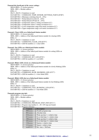*Transmit the fourth part of the sensor settings:* 

 $SID10-SID9 = 11$  (lowest priority) SID8...SID1 = Module address  $RTR = 0$  $DLC3...DLC0 = 8$  databytes to send DATABYTE1 = COMMAND\_TEMP\_SENSOR\_SETTINGS\_PART4 (H'B9')  $DATABYTE2 = Minimum switching time (0...255s)$  $DATABYTE3 = Pump$  delayed on time  $(0...255s)$ DATABYTE4 = Pump delayed off time  $(0...255s)$ DATABYTE5 = Temperature alarm 2 setting (resolution  $0.5^{\circ}$ ) DATABYTE6 = Temperature alarm 3 setting (resolution 0.5°)  $DATABYTE7 = Lower temperature range heat mode (resolution 0.5°)$  $DATABYTE8 = Upper temperature range cool mode (resolution 0.5°)$ 

# *Transmit: Clears LEDs on a linked push button module:*

 $SID10-SID9 = 11$  (lowest priority)  $SID8...SID1 = Address of the linked push button module for clearing LEDs$  $RTR = 0$  $DLC3...DLC0 = 2$  databytes to send DATABYTE1 = COMMAND\_CLEAR\_LED (H'F5')  $DATABYTE2 = LED bit numbers (1 = clear LED)$ 

#### *Transmit: Sets LEDs on a linked push button module:*

 $SID10-SID9 = 11$  (lowest priority)  $SID8...SID1 = Address of the linked push button module for setting LEDs on$  $RTR = 0$  $DLC3...DLC0 = 2$  databytes to send DATABYTE1 = COMMAND\_SET\_LED (H'F6')  $DATABYTE2 = LED bit numbers (1 = set LED)$ 

#### *Transmit: Blinks LEDs slowly on a linked push button module:*

 $SID10-SID9 = 11$  (lowest priority)  $SID8...SID1 = Address of the linked push button module for slowly thinking LEDs.$  $RTR = 0$  $DLC3...DLC0 = 2$  databytes to send DATABYTE1 = COMMAND\_SLOW\_BLINKING\_LED (H'F7')  $DATABYTE2 = LED bit numbers (1 = slow blink LED)$ 

# *Transmit: Blinks LEDs fast on a linked push button module:*

 $SID10-SID9 = 11$  (lowest priority) SID8...SID1 = Address of the linked push button module for fast blinking LEDs  $RTR = 0$  $DLC3...DLC0 = 2$  databytes to send DATABYTE1 = COMMAND\_FAST\_BLINKING\_LED (H'F8')  $DATABYTE2 = LED bit numbers (1 = fast blink LED)$ 

# *Transmits program step info:*

 $SID10-SID9 = 11$  (lowest priority) SID8...SID1 = Module address  $RTR = 0$  $DLC3...DLC0 = 8$  databytes to send DATABYTE1 = COMMAND\_PROGRAM\_STEP\_INFO (H'C1') DATABYTE2 = Program step number  $(1...85/255)$  step not found) DATABYTE3 = Program reference

| <b>Contents</b> | <b>Description</b>                 |
|-----------------|------------------------------------|
| 000xxxxx        | Disable program step               |
| $001$ xxxxx     | Absolute time                      |
| $010$ xxxxx     | Wake up time $1 +$ relative time   |
| $011$ xxxxx     | Go to bed time $1 +$ relative time |
| 100xxxxx        | Wake up time $2 +$ relative time   |
| $101$ xxxxx     | Go to bed time $2 +$ relative time |
| $110$ xxxxx     | Sunrise + relative time            |
| $111$ xxxxx     | Sunset $+$ relative time           |
| xxx01111        | Rel. time = $3h45min$              |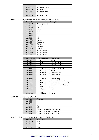| $\cdots$ |                       |
|----------|-----------------------|
| xxx00001 | Rel. time $= 15$ min  |
| xxx00000 | Rel. time $= 0$       |
| xxx11111 | Rel. time $= -15$ min |
| $\cdots$ |                       |
| xxx10000 | Rel. time $= -4h$     |

DATABYTE4 = Program step month  $&$  four least significant bits of day

| <b>Contents</b>               | <b>Description</b> |  |
|-------------------------------|--------------------|--|
| xxxx0000                      | Weekly program     |  |
| $\overline{\text{xxxx}}$ 0001 | January            |  |
| $\overline{\text{xxxx}}$ 0010 | February           |  |
| xxxx0011                      | March              |  |
| xxxx0100                      | April              |  |
| xxxx0101                      | May                |  |
| xxxx0110                      | June               |  |
| xxxx0111                      | July               |  |
| xxxx1000                      | August             |  |
| xxxx1001                      | September          |  |
| xxxx1010                      | October            |  |
| xxxx1011                      | November           |  |
| xxxx1100                      | December           |  |
| xxxx1101                      | Monthly program    |  |
| xxxx1110                      | Monthly program    |  |
| xxxx1111                      | Monthly program    |  |

| Contents byte6 | <b>Contents byte4</b> | <b>Description</b>       |
|----------------|-----------------------|--------------------------|
| 00xxxxx        | $0000$ xxxx           | <b>Never</b>             |
| 00xxxxx        | $0001$ xxxx           | Day 1of the month        |
| 00xxxxx        | $0010$ xxxx           | Day 2of the month        |
| .              |                       | .                        |
| $01$ xxxxxx    | $1111$ xxxx           | Day 31of the month       |
| 10xxxxx        | $0000$ xxxx           | Never                    |
| 10xxxxx        | $0001$ xxxx           | Every Monday             |
| 10xxxxxx       | $0010$ x x x x x      | <b>Every Tuesday</b>     |
| $\ddotsc$      | .                     | .                        |
| 10xxxxx        | $0111$ xxxx           | Every Sunday             |
| 10xxxxxx       | $1000$ xxxx           | Every weekend (sa & su)  |
| 10xxxxxx       | $1001$ xxxx           | Every working day (mofr) |
| 10xxxxxx       | $1010$ x x x x        | Every day except Sunday  |
| 10xxxxxx       | $1011$ xxxx           | Every day                |
| 10xxxxxx       | $1100$ xxxx           | Never                    |
| .              | .                     | .                        |
| 11xxxxxx       | 1111xxxx              | Never                    |

DATABYTE5 = Program step hour  $&$  group number

| <b>Contents</b>   | <b>Description</b>                |
|-------------------|-----------------------------------|
| xxx00000          | 0h                                |
| xxx00001          | l h                               |
| $\cdot\cdot\cdot$ | $\cdots$                          |
| xxx10111          | 23h                               |
| xx1xxxx           | Program group 1 (Summer program)  |
| x1xxxxxx          | Program group 2 (Winter program)  |
| <b>XXXXXXX</b>    | Program group 3 (Holiday program) |

DATABYTE6 = Program step minute  $&$  every flag  $&$  msb of day

| <b>Description</b> |
|--------------------|
| 0 <sub>min</sub>   |
| 1 min              |
| $\cdots$           |
| 59 <sub>min</sub>  |
|                    |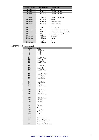| Contents byte6 | <b>Contents byte4</b> | <b>Description</b>       |
|----------------|-----------------------|--------------------------|
| 00xxxxx        | $0000$ xxxx           | <b>Never</b>             |
| 00xxxxxx       | $0001$ xxxx           | Day 1 of the month       |
| 00xxxxx        | $0010$ x x x x x      | Day 2of the month        |
| .              | .                     | .                        |
| $01$ xxxxxx    | $1111$ xxxx           | Day 31 of the month      |
| 10xxxxxx       | $0000$ xxxx           | Never                    |
| 10xxxxxx       | $0001$ xxxx           | <b>Every Monday</b>      |
| 10xxxxxx       | $0010$ xxxx           | <b>Every Tuesday</b>     |
|                |                       |                          |
| 10xxxxxx       | $0111$ xxxx           | Every Sunday             |
| 10xxxxxx       | $1000$ xxxx           | Every weekend (sa & su)  |
| 10xxxxxx       | $1001$ xxxx           | Every working day (mofr) |
| 10xxxxxx       | $1010$ xxxx           | Every day except Sunday  |
| 10xxxxxx       | $1011$ xxxx           | Every day                |
| 10xxxxxx       | $1100$ $xxxx$         | Never                    |
| .              | .                     | .                        |
| 11xxxxxx       | $1111$ xxxx           | Never                    |

# DATABYTE7 = Program step action

| rogram stop aotron<br>Contents | <b>Action</b>        |
|--------------------------------|----------------------|
| $\boldsymbol{0}$               | 0s25 Pulse           |
| $\mathbf{1}$                   | 1s Pulse             |
| $\overline{c}$                 | 2s Pulse             |
|                                | $\cdots$             |
| 119                            | 1min59s Pulse        |
| 120                            | 2min Pulse           |
| 121                            | 2min15s Pulse        |
| $\ldots$                       | $\cdots$             |
| 131                            | 4min45s Pulse        |
| 132                            | 5min Pulse           |
| 133                            | 5min30s Pulse        |
| $\cdots$                       | $\cdots$             |
| 181                            | 29min30s Pulse       |
| 182                            | 30min Pulse          |
| 183                            | 31min Pulse          |
| $\ldots$                       |                      |
| 211                            | 59min Pulse          |
| 212                            | 1h Pulse             |
| 213                            | 1h15min Pulse        |
| $\ldots$                       | $\cdots$             |
| 227                            | 4h45min Pulse        |
| 228                            | 5h Pulse             |
| 229                            | 5h30min Pulse        |
| $\cdots$                       |                      |
| 237                            | 9h30min Pulse        |
| 238                            | 10h Pulse            |
| 239                            | 11h Pulse            |
| $\ldots$                       | $\cdots$             |
| 246                            | 18h Pulse            |
| 247                            | Press                |
| 248                            | Long Press           |
| 249                            | Release              |
| 250                            | Lock                 |
| 251                            | Unlock               |
| 252                            | Sensor: Safe mode    |
| 253                            | Sensor: Night mode   |
| 254                            | Sensor: Day mode     |
| 255                            | Sensor: Comfort mode |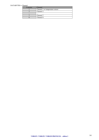| $DATABYTE8 = Channel$ |                         |                                 |  |
|-----------------------|-------------------------|---------------------------------|--|
|                       | <b>Contents</b>         | Channel                         |  |
|                       |                         | Channel 1 or temperature sensor |  |
|                       |                         | Channel 2                       |  |
|                       | $\bullet\bullet\bullet$ | $\cdots$                        |  |
|                       |                         | Channel 7                       |  |
|                       |                         | Channel 8                       |  |
|                       |                         |                                 |  |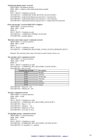*'Linked push button status' received:*  $SID10-SID9 = 00$  (highest priority)  $SID8...SID1 = Address of the linked push button module$  $RTR = 0$ DLC3...DLC0 = 4 databytes received DATABYTE1 = COMMAND\_PUSH\_BUTTON\_STATUS (H'00')  $DATABYTE2 = Linked push buttons just pressed (1 = just pressed)$  $DATABYTE3 = Linked push buttons just released (1 = just released)$  $DATABYTE4 = linked push buttons long pressed (1 = longer than 0.85s pressed)$ 

# *Power up message' received (build 1415 or higher):*

 $SID10-SID9 = 11$  (lowest priority)  $SID8...SID1 = H'00'$  $RTR = 0$  $DLC3...DLC0 = 2$  databyte to send DATABYTE1 = COMMAND\_POWER\_UP (H'AB') DATABYTE2 = module address

# *'Real time clock status request' command received:*

 $SID10-SID9 = 11$  (lowest priority)  $SID8...SID1 = H'00'$  $RTR = 0$  $DLC3...DLC0 = 1$  databyte to send DATABYTE1 = COMMAND\_REALTIME\_CLOCK\_STATUS\_REQUEST (H'D7')

Remark: The real time clock status will only be send if master clock is on

#### *'Set real time clock' command received:*

 $SID10-SID9 = 11$  (lowest priority)  $SID8...SID1 = H'00'$  $RTR = 0$  $DLC3...DLC0 = 4$  databytes to send DATABYTE1 = COMMAND\_SET\_REALTIME\_CLOCK (H'D8')  $DATABYTE2 = Day of week$ 

| Contents day of week' | <b>Description</b> |
|-----------------------|--------------------|
| H'00'                 | Monday             |
| H'01'                 | Tuesday            |
| H'02'                 | Wednesday          |
| H'03'                 | Thursday           |
| H'04'                 | Friday             |
| H'05'                 | Saterday           |
| H'06'                 | Sunday             |

 $DATABYTE3 = Hours (0...23)$  $DATABYTE4 =$  Minutes  $(0...59)$ 

#### *'Set date' command received:*

 $SID10-SID9 = 11$  (lowest priority)  $SID8...SID1 = H'00'$  $RTR = 0$  $DLC3...DLC0 = 5$  databytes to send DATABYTE1 = COMMAND\_SET\_REALTIME\_DATE (H'B7')  $DATABYTE2 = Day (1...31)$  $DATABYTE3 = Month (1...12)$ DATABYTE4 = High byte of Year DATABYTE5 = Low byte of Year

# *'Set daylight savings' command received:*

 $SID10-SID9 = 11$  (lowest priority)  $SID8...SID1 = H'00'$  $RTR = 0$  $DLC3...DLC0 = 2$  databytes to send DATABYTE1 = COMMAND\_SET\_DAYLIGHT\_SAVING (H'AF')  $DATABYTE2 = 0 = disabled / 1 = enabled$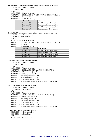*'Enable/disable global sunrise/sunset related actions' command received:*  $SID10-SID9 = 11$  (lowest priority)  $SID8...SID1 = H'00'$  $RTR = 0$ DLC3...DLC0 = 3 databytes to send DATABYTE1 = COMMAND\_ENA\_DIS\_SUNRISE\_SUNSET (H'AE') DATABYTE2 = Channel (FF) DATABYTE3 = enable/disable flags

| <b>Contents</b> | <b>Description</b>              |
|-----------------|---------------------------------|
| B'xxxxxxx0'     | Disable sunrise related actions |
| B'xxxxxx1'      | Enable sunrise related actions  |
| B'xxxxxx0x'     | Disable sunset related actions  |
| B'xxxxx1x'      | Enable sunset related actions   |

*'Enable/disable local sunrise/sunset related actions' command received:*

 $SID10-SID9 = 11$  (lowest priority)  $SID8...SID1 = Module address$  $RTR = 0$  $DLC3...DLC0 = 3$  databytes to send DATABYTE1 = COMMAND\_ENA\_DIS\_SUNRISE\_SUNSET (H'AE') DATABYTE2 = Channel (FF) DATABYTE3 = enable/disable flags

| <b>Contents</b> | <b>Description</b>              |
|-----------------|---------------------------------|
| B'xxxxxx0'      | Disable sunrise related actions |
| B'xxxxxx1'      | Enable sunrise related actions  |
| B'xxxxxx0x'     | Disable sunset related actions  |
| B'xxxxx1x'      | Enable sunset related actions   |

#### *'Set global clock alarm' command received:*

 $SID10-SID9 = 11$  (lowest priority)  $SID8...SID1 = H'00'$  $RTR = 0$  $DLC3...DLC0 = 7$  databytes to send DATABYTE1 = COMMAND\_SET\_ALARM\_CLOCK (H'C3')  $DATABYTE2 = Alarm number (1 or 2)$  $DATABYTE3 = Wake up hour (0...23)$  $DATABYTE4 = Wake up minute (0...59)$  $DATABYTE5 = Go$  to bed hour  $(0...23)$ DATABYTE6 = Go to bed minute  $(0...59)$ DATABYTE7 = Clock alarm enable flag  $(0 = \text{disabeled} / 1 = \text{enabeled})$ 

#### *'Set local clock alarm' command received:*

 $SID10-SID9 = 11$  (lowest priority)  $SID8...SID1 = Module address$  $RTR = 0$ DLC3...DLC0 = 7 databytes to send DATABYTE1 = COMMAND\_SET\_ALARM\_CLOCK (H'C3')  $DATABYTE2 = Alarm number (1 or 2)$  $DATABYTE3 = Wake up hour (0...23)$  $DATABYTE4 = Wake up minute (0...59)$  $DATABYTE5 = Go$  to bed hour  $(0...23)$ DATABYTE6 = Go to bed minute  $(0...59)$ DATABYTE7 = Clock alarm enable flag  $(0 = \text{disabeled}/1 = \text{enabeled})$ 

# *'Module type request' command received:*

 $SID10-SID9 = 11$  (lowest priority) SID8...SID1 = Module address  $RTR = 1$  $DLC3...DLC0 = 0$  databytes received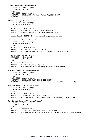*'Module status request' command received:*  $SID10-SID9 = 11$  (lowest priority) SID8...SID1 = Module address  $RTR = 0$ DLC3...DLC0 = 2 databytes received DATABYTE1 = COMMAND\_MODULE\_STATUS\_REQUEST (H'FA') DATABYTE2 = don't care

# *'Channel name request' command received:*

 $SID10-SID9 = 11$  (lowest priority)  $SID8...SID1 = Module address$  $RTR = 0$ DLC3...DLC0 = 2 databytes received DATABYTE1 = COMMAND\_CHANNEL\_NAME\_REQUEST (H'EF') DATABYTE2 = channel number 1…9 (9 for temperature sensor name)

Remark: channel =  $H'FF'$  for all 8 channel names & temperature sensor name

# *'Clear channel LED' command received:*

 $SID10-SID9 = 11$  (lowest priority) SID8...SID1 = Module address  $RTR = 0$ DLC3...DLC0 = 2 databytes received DATABYTE1 = COMMAND\_CLEAR\_LED (H'F5')  $DATABYTE2 = LEDs$  to clear (a one clears the corresponding LED of channel 1 to 8)

#### *'Set channel LED' command received:*

 $SID10-SID9 = 11$  (lowest priority)  $SID8...SID1 = Module address$  $RTR = 0$ DLC3...DLC0 = 2 databytes received  $DATABYTE1 = COMMAND SET LED (H'F6')$  $DATABYTE2 = LEDs$  to set (a one sets the corresponding LED of channel 1 to 8)

# *'Slow blink channel LED' command received:*

 $SID10-SID9 = 11$  (lowest priority)  $SID8...SID1 = Module address$  $RTR = 0$ DLC3...DLC0 = 2 databytes received DATABYTE1 = COMMAND\_SLOW\_BLINK\_LED (H'F7')  $DATABYTE2 = LEDs$  to blink slow (a one blinks slow the corresponding LED of channel 1 to 8)

#### *'Fast blink channel LED' command received:*

 $SID10-SID9 = 11$  (lowest priority) SID8...SID1 = Module address  $RTR = 0$ DLC3...DLC0 = 2 databytes received DATABYTE1 = COMMAND\_FAST\_BLINK\_LED (H'F8')  $DATABYTE2 = LEDs$  to blink fast (a one blinks fast the corresponding LED of channel 1 to 8)

# *'Very fast blink channel LED' command received:*

 $SID10-SID9 = 11$  (lowest priority)  $SID8...SID1 = Module address$  $RTR = 0$  $DLC3...DLC0 = 2$  databytes received DATABYTE1 = COMMAND\_VERY\_FAST\_BLINK\_LED (H'F9') DATABYTE2 = LEDs to blink very fast (a one blinks very fast the corresponding LED of channel 1 to 8)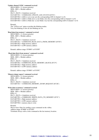*'Update channel LEDs' command received:*   $SID10-SID9 = 11$  (lowest priority) SID8...SID1 = Module address  $RTR = 0$  $DLC3...DLC0 = 4$  databytes received DATABYTE1 = COMMAND\_UPDATE\_LED\_STATUS (H'F4') DATABYTE2 = LEDs to set (a one sets the corresponding LED of channel 1 to 8)  $DATABYTE3 = LEDs$  to blink slow (a one blinks slow the corresponding LED of channel 1 to 8) DATABYTE4 = LEDs to blink fast (a one blinks very fast the corresponding LED of channel 1 to 8)

#### Remark:

The 'LEDs to set' status overrides the blinking modes. Very fast blinking if slow & fast blinking are set.

# *'Read data from memory' command received:*

 $SID10-SID9 = 11$  (lowest priority)  $SID8...SID1 = Module address$  $RTR = 0$ DLC3...DLC0 = 3 databytes received DATABYTE1 = COMMAND\_READ\_DATA\_FROM\_MEMORY (H'FD') DATABYTE2 = High memory address DATABYTE3 = LOW memory address

Remark: address range: H'0000' to H'03FF'

# *'Read data block from memory' command received:*

 $SID10-SID9 = 11$  (lowest priority) SID8...SID1 = Module address  $RTR = 0$ DLC3...DLC0 = 3 databytes received DATABYTE1 = COMMAND\_READ\_MEMORY\_BLOCK (H'C9') DATABYTE2 = High memory address DATABYTE3 = LOW memory address

Remark: address range: H'0000' to H'03FC'

# *'Memory dump request' command received:*

 $SID10-SID9 = 11$  (lowest priority)  $SID8...SID1 = Module address$  $RTR = 0$ DLC3...DLC0 = 1 databytes received DATABYTE1 = COMMAND\_MEMORY\_DUMP\_REQUEST (H'CB')

#### *'Write data to memory' command received:*

 $SID10-SID9 = 11$  (lowest priority) SID8...SID1 = Module address  $RTR = 0$ DLC3...DLC0 = 4 databytes received DATABYTE1 = COMMAND\_WRITE\_DATA\_TO\_MEMORY (H'FC') DATABYTE2 = High memory address DATABYTE3 = LOW memory address DATABYTE4 = memory data to write

Remark:

Wait at least 10ms for sending a next command on the velbus. Address range: H'0000' to H'03FF' Terminate always with a write command at the last memory location.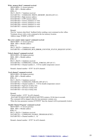*'Write memory block' command received:*  $SID10-SID9 = 11$  (lowest priority) SID8...SID1 = Module address  $RTR = 0$  $DLC3...DLC0 = 7$  databytes received DATABYTE1 = COMMAND\_WRITE\_MEMORY\_BLOCK (H'CA') DATABYTE2 = High memory address DATABYTE3 = LOW memory address DATABYTE4 = memory databyte1 to write DATABYTE5 = memory databyte2 to write DATABYTE6 = memory databyte3 to write DATABYTE7 = memory databyte4 to write

#### Remark:

Wait for 'memory data block' feedback before sending a next command on the velbus. Terminate always with a write command at the last memory location. Address range: H'0000' to H'03FC'

#### *'Bus error counter status request' command received:*

 $SID10-SID9 = 11$  (lowest priority) SID8...SID1 = Module address  $RTR = 0$  $DLC3...DLC0 = 1$  databytes to send DATABYTE1 = COMMAND\_BUS\_ERROR\_COUNTER\_STATUS\_REQUEST (H'D9')

#### *'Unlock channel' command received:*

 $SID10-SID9 = 00$  (highest priority) SID8...SID1 = Module address  $RTR = 0$ DLC3...DLC0 = 2 databytes received DATABYTE1 = COMMAND\_CANCEL\_FORCED\_OFF (H'13')  $DATABYTE2 = Channel number (1...9)$  (9 for enable temperature sensor)

Remark: channel number  $=$  H'FF' for all 8 channels

# *'Lock channel' command received:*

 $SID10-SID9 = 00$  (highest priority)  $SID8...SID1 = Module address$  $RTR = 0$ DLC3...DLC0 = 5 databytes received DATABYTE1 = COMMAND\_FORCED\_OFF (H'12')  $DATABYTE2 = Channel number (1...9)$  (9 for disable temperature sensor)  $DATABYTE3 = high byte of delay time$ DATABYTE4 = mid byte of delay time  $DATABYTE5 = low byte of delay time$ 

Remark:

Channel number  $=$  H'FF' for all 8 channels [DATABYTE3][DATABYTE4][DATABYTE5] contain a 24-bit time in seconds The command will be skipped when the time parameter contains zero. When the time parameter contains H'FFFFFF' then the channel will be permanently locked.

#### *'Enable Channel Program' command received:*

 $SID10-SID9 = 11$  (lowest priority) SID8...SID1 = Module address  $RTR = 0$ DLC3...DLC0 = 2 databytes received DATABYTE1 = COMMAND\_ENABLE\_PROGRAM (H'B2')  $DATABYTE2 = Channel number (1...8)$ 

Remark: channel number  $=$  H'FF' for all 8 channels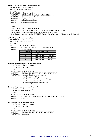*'Disable Channel Program' command received:*  $SID10-SID9 = 11$  (lowest priority) SID8...SID1 = Module address  $RTR = 0$ DLC3...DLC0 = 5 databytes received DATABYTE1 = COMMAND\_DISABLE\_PROGRAM (H'B1')  $DATABYTE2 = Channel number (1...8)$ DATABYTE3 = high byte of delay time DATABYTE4 = mid byte of delay time DATABYTE5 = low byte of delay time

Remark:

Channel number  $=$  H'FF' for all 8 channels [DATABYTE3][DATABYTE4][DATABYTE5] contain a 24-bit time in seconds The command will be skipped when the time parameter contains zero. When the time parameter contains H'FFFFFF' then the channel program will be permanently disabled.

#### *'Select Program' command received:*

 $SID10-SID9 = 11$  (lowest priority)  $SID8...SID1 = Module address$  $RTR = 0$ DLC3...DLC0 = 2 databytes received DATABYTE1 = COMMAND\_SELECT\_PROGRAM (H'B3') DATABYTE2 = Program mode

| <b>Contents</b> | <b>Selected programl</b>  |
|-----------------|---------------------------|
|                 | None                      |
|                 | Program group 1 (Summer)  |
|                 | Program group 2 (Winter)  |
|                 | Program group 3 (Holiday) |

# *'Sensor temperature request' command received:*

 $SID10-SID9 = 11$  (lowest priority)  $SID8...SID1 = Module address$  $RTR = 0$  $DLC3...DLC0 = 2$  databytes to send DATABYTE1 = COMMAND\_SENSOR\_TEMP\_REQUEST (H'E5') DATABYTE2 = Autosend time interval into seconds (valid range: 10…255s)  $(5...9)$  = auto send on temperature change)  $(1...4)$  = auto send disabled)  $(0 = no change on auto send interval)$ *'Sensor settings request' command received:*

 $SID10-SID9 = 11$  (lowest priority) SID8...SID1 = Module address  $RTR = 0$ DLC3...DLC0 = 2 databytes to send DATABYTE1 = COMMAND\_TEMP\_SENSOR\_SETTINGS\_REQUEST (H'E7') DATABYTE2 = don't care

# *'Set heating mode' command received:*

 $SID10-SID9 = 11$  (lowest priority) SID8...SID1 = Module address  $RTR = 0$ DLC3...DLC0 = 2 databytes received DATABYTE1 = COMMAND\_SET\_HEATING\_MODE (H'E0') DATABYTE2 = don't care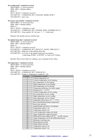*'Set cooling mode' command received:*  $SID10-SID9 = 11$  (lowest priority) SID8...SID1 = Module address  $RTR = 0$ DLC3...DLC0 = 2 databytes received DATABYTE1 = COMMAND\_SET\_COOLING\_MODE (H'DF') DATABYTE2 = don't care

# *'Set sensor zone number' command received:*

 $SID10-SID9 = 11$  (lowest priority) SID8...SID1 = Module address  $RTR = 0$  $DLC3...DLC0 = 2$  databytes to send DATABYTE1 = COMMAND\_SET\_SENSOR\_ZONE\_NUMBER (H'C5') DATABYTE2 = Zone number  $(0=$  no zone  $/ 1...7 =$  valid zone)

Remark: The module answers with his type

# *'Set default sleep time' command received:*

 $SID10-SID9 = 11$  (lowest priority) SID8...SID1 = Module address  $RTR = 0$ DLC3...DLC0 = 3 databytes received DATABYTE1 = COMMAND\_SET\_DEFAULT\_SLEEP\_TIME (H'E3')  $DATABYTE2 = High byte of the default sleep time$ DATABYTE3 = Low byte of the default sleep time into minutes (valid range H'0001' to H'FEFF' or 1min to 65.279min)

Remark: Wait at least 20ms for sending a next command on the velbus

# *'Set temperature' command received:*

 $SID10-SID9 = 11$  (lowest priority) SID8...SID1 = Module address  $RTR = 0$  $DLC3...DLC0 = 3$  databytes received  $DATABYTE1 = COMMAND SET$  TEMP (H'E4')  $DATABYTE2 = Pointer to temperature variable (0...20)$ 

| Contents        | Temperature variable                                  |
|-----------------|-------------------------------------------------------|
| $\theta$        | Current temperature set                               |
| $\mathbf{1}$    | Comfort temperature set for heating                   |
| $\overline{2}$  | Day temperature set for heating                       |
| $\overline{3}$  | Night temperature set for heating                     |
| $\overline{4}$  | Safe temperature set for heating                      |
| 5               | Temperature difference for turbo output               |
| 6               | Hysteresis $(0^{\circ}15.5^{\circ}C)$                 |
| $\overline{7}$  | Comfort temperature set for cooling                   |
| 8               | Day temperature set for cooling                       |
| 9               | Night temperature set for cooling                     |
| 10              | Safe temperature set for cooling                      |
| 11              | Calibration offset factor (-8°+7.5°C)                 |
| 12              | Reset minimum/maximum temperature                     |
| $\overline{13}$ | Reset time statistics                                 |
| 14              | enable/disable anti-block valve/pump                  |
| 15              | Temperature alarm 1 set                               |
| $\overline{16}$ | Temperature alarm 4 set                               |
| 17              | Lower temperature range cool mode                     |
| 18              | Upper temperature range heat mode                     |
| 19              | Differential sensor address (H'FF' = no diff. sensor) |
| 20              | Target temperature set for the differential sensor    |
| 21              | Minimum switching time                                |
| 22              | Pump delayed on time                                  |
| 23              | Pump delayed off time                                 |
| 24              | Temperature alarm 2 set                               |
| 25              | Temperature alarm 3 set                               |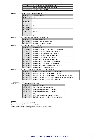| 26 | Lower temperature range heat mode |
|----|-----------------------------------|
|    | Upper temperature range cool mode |
| 28 | Calibration gain factor           |

 $DATABYTE3 = Temperature set (resolution 0.5°)$ <br>Contents Temperature set Temperature set  $63.5^{\circ}$ C 01111111 00101000 20°C  $\begin{array}{|c|c|c|c|}\n \hline\n 000000010 & 1^{\circ}\text{C} \\
 \hline\n 00000001 & 0.5^{\circ}\text{C}\n \end{array}$  $\begin{array}{|c|c|c|c|c|}\n \hline\n 000000001 & 0.5^{\circ}{\circ} \\
 \hline\n 00000000 & 0^{\circ}{\rm C}\n \end{array}$  $\begin{array}{c|c}\n 000000000 & 0^{\circ}\text{C} \\
 \hline\n 11111111 & -0.5^{\circ}\text{C}\n \end{array}$ 11111111 10010010 -55°C DATABYTE3 = Reset minimum/maximum temperature<br>
Contents Reset temperature Contents Reset temperature<br>000000001 Reset minimum terms 00000001 Reset minimum temperature<br>00000010 Reset maximum temperature Reset maximum temperature  $DATABYTE3 = Rest time statistics mode index  
Contents | Rest time stati$ Contents Reset time statistics<br>10000001 Reset heating antifre 10000001 Reset heating antifreeze mode time statistics<br>10000010 Reset heating night mode time statistics 10000010 Reset heating night mode time statistics<br>10000100 Reset heating day mode time statistics Reset heating day mode time statistics 10001000 Reset heating comfort mode time statistics 10010000 Reset heating global time statistics 01000001 Reset cooling standby mode time statistics<br>01000010 Reset cooling night mode time statistics 01000010 Reset cooling night mode time statistics<br>01000100 Reset cooling day mode time statistics Reset cooling day mode time statistics 01001000 Reset cooling comfort mode time statistics 01010000 Reset cooling global time statistics  $DATABYTE3 = Enable/disable unjamining heater valve & pump$ Contents Enable/disable unjamming valve and pump 00000000 Disable unjamming heater valve & pump 00000001 Disable unjamming heater valve & enable unjamming pump<br>00000010 Enable unjamming heater valve & disable unjamming pump 00000010 Enable unjamming heater valve & disable unjamming pump<br>00000011 Enable unjamming heater valve & pump Enable unjamming heater valve & pump

DATABYTE3 = Minimum switching time:

| Contents | Operating mode                             |  |  |  |
|----------|--------------------------------------------|--|--|--|
| 00000000 | No switching time protection               |  |  |  |
| 00000001 | 1 minute switching time protection         |  |  |  |
| 00000010 | 2 minute switching time protection         |  |  |  |
| $\cdots$ | .                                          |  |  |  |
| 11111110 | 254 minute switching time protection       |  |  |  |
| 11111111 | Default 1 minute switching time protection |  |  |  |

Remark:

Valid hysteresis range =  $0 \dots 15.5$ °C

Valid calibration factor range =  $-8$  ...7.5 °C

Wait at least 10ms for sending a next command on the velbus.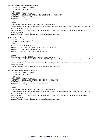*'Switch to comfort mode' command received:*  $SID10-SID9 = 11$  (lowest priority) SID8...SID1 = Module address  $RTR = 0$  $DLC3...DLC0 = 3$  databytes received DATABYTE1 = COMMAND\_SWITCH\_TO\_COMFORT\_MODE (H'DB') DATABYTE2 = High byte of the sleep time DATABYTE3 = Low byte of the sleep time into minutes

# Remark:

If the sleep time contains H'FF00', the command is a program step. A sleep time between H'0001' and H'FEFF' (1 to 65.279min) starts the sleep timer for that time and program steps will not be executed during that time. A sleep time of H'FFFF' puts the sensor into manual mode. Program steps will not be executed any more and local control is disabled. A value of zero for the sleep time cancels the manual mode or sleep timer.

# *'Switch to day mode' command received:*

 $SID10-SID9 = 11$  (lowest priority)  $SID8...SID1 = Module address$  $RTR = 0$ DLC3...DLC0 = 3 databytes received DATABYTE1 = COMMAND\_SWITCH\_TO\_DAY\_MODE (H'DC') DATABYTE2 = High byte of the sleep time DATABYTE3 = Low byte of the sleep time into minutes

Remark:

If the sleep time contains H'FF00', the command is a program step. A sleep time between H'0001' and H'FEFF' (1 to 65.279min) starts the sleep timer for that time and program steps will not be executed during that time. A sleep time of H'FFFF' puts the sensor into manual mode. Program steps will not be executed any more and local control is disabled. A value of zero for the sleep time cancels the manual mode or sleep timer.

# *'Switch to night mode' command received:*

 $SID10-SID9 = 11$  (lowest priority)  $SID8...SID1 = Module address$  $RTR = 0$ DLC3...DLC0 = 3 databytes received DATABYTE1 = COMMAND\_SWITCH\_TO\_NIGHT\_MODE (H'DD') DATABYTE2 = High byte of the sleep time DATABYTE3 = Low byte of the sleep time into minutes

Remark:

If the sleep time contains H'FF00', the command is a program step.

A sleep time between H'0001' and H'FEFF' (1 to 65.279min) starts the sleep timer for that time and program steps will not be executed during that time.

A sleep time of H'FFFF' puts the sensor into manual mode. Program steps will not be executed anymore and local control is disabled.

A value of zero for the sleep time cancels the manual mode or sleep timer.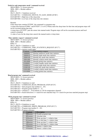*'Switch to safe temperature mode' command received:*   $SID10-SID9 = 11$  (lowest priority) SID8...SID1 = Module address  $RTR = 0$  $DLC3...DLC0 = 3$  databytes received DATABYTE1 = COMMAND\_SWITCH\_TO\_SAFE\_MODE (H'DE') DATABYTE7 = High byte of the sleep time DATABYTE8 = Low byte of the sleep time into minutes

#### Remark:

If the sleep time contains H'FF00', the command is a program step.

A sleep time between H'0001' and H'FEFF' (1 to 65.279min) starts the sleep timer for that time and program steps will not be executed during that time.

A sleep time of H'FFFF' puts the sensor into manual mode. Program steps will not be executed anymore and local control is disabled.

A value of zero for the sleep time cancels the manual mode or sleep timer.

#### *'Time statistics request' command received:*

 $SID10-SID9 = 11$  (lowest priority)

SID8...SID1 = Module address

 $RTR = 0$ 

 $DLC3...DLC0 = 2$  databytes to send

DATABYTE1 = COMMAND\_TIME\_STATISTICS\_REQUEST (H'C7')<br>DATABYTE2 = statistics mode index  $DATABYTE2 = statistics$ 

|  |  | JA I AB Y I EZ = statistics mode index |  |
|--|--|----------------------------------------|--|
|  |  |                                        |  |

| Contents | Time statistics request                 |
|----------|-----------------------------------------|
| 10000001 | Heating antifreeze mode time statistics |
| 10000010 | Heating night mode time statistics      |
| 10000100 | Heating day mode time statistics        |
| 10001000 | Heating comfort mode time statistics    |
| 10010000 | Heating global time statistics          |
| 01000001 | Cooling standby mode time statistics    |
| 01000010 | Cooling night mode time statistics      |
| 01000100 | Cooling day mode time statistics        |
| 01001000 | Cooling comfort mode time statistics    |
| 01010000 | Cooling global time statistics          |
|          |                                         |

# *'Read program step' command received:*

 $SID10-SID9 = 11$  (lowest priority)

SID8...SID1 = Module address

 $RTR = 0$ 

 $DLC3...DLC0 = 5$  databytes to send

DATABYTE1 = COMMAND\_READ\_PROGRAM\_STEP (H'C0')

 $DATABYTE2 = Start program step number (1...85)$ 

 $DATABYTE3 = Program group number (1...3)$ 

 $DATABYTE4 = Channel (1...8 for buttons or 128 for temperature channel)$ 

DATABYTE5 = Search direction (1 = search for next matched step  $/ 0$  = search for previous matched program step)

#### *'Write program step' command received:*

 $SID10-SID9 = 11$  (lowest priority)

SID8...SID1 = Module address

 $RTR = 0$ 

DLC3...DLC0 = 8 databytes to send

DATABYTE1 = COMMAND\_WRITE\_PROGRAM\_STEP (H'C2')

DATABYTE2 = Program step number (1…85)

DATABYTE3 = Program reference

| <b>Contents</b> | <b>Description</b>                 |
|-----------------|------------------------------------|
| 000xxxxx        | Disable program step               |
| $001$ xxxxx     | Absolute time                      |
| $010$ xxxxx     | Wake up time $1 +$ relative time   |
| $011$ xxxxx     | Go to bed time $1 +$ relative time |
| 100xxxxx        | Wake up time $2 +$ relative time   |
| $101$ x x x x x | Go to bed time $2 +$ relative time |
| $110$ xxxxx     | Sunrise + relative time            |
| $111$ x x x x x | Sunset $+$ relative time           |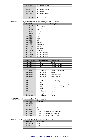| xxx01111          | Rel. time $= 3h45$ min |
|-------------------|------------------------|
| $\cdot\cdot\cdot$ |                        |
| xxx00001          | Rel. time $= 15$ min   |
| xxx00000          | Rel. time $= 0$        |
| xxx11111          | Rel. time $= -15$ min  |
| $\cdot\cdot\cdot$ |                        |
| xxx10000          | Rel. time $= -4h$      |

# DATABYTE4 = Program step month  $&$  four least significant bits of day

| <b>Contents</b>               | <b>Description</b> |
|-------------------------------|--------------------|
| xxxx0000                      | Weekly program     |
| $\overline{\text{xxxx}}$ 0001 | January            |
| $\overline{\text{xxxx}}$ 0010 | February           |
| xxxx0011                      | March              |
| xxxx0100                      | April              |
| xxxx0101                      | May                |
| xxxx0110                      | June               |
| xxxx0111                      | July               |
| xxxx1000                      | August             |
| xxxx1001                      | September          |
| xxxx1010                      | October            |
| xxxx1011                      | November           |
| xxxx1100                      | December           |
| xxxx1101                      | Monthly program    |
| xxxx1110                      | Monthly program    |
| xxxx1111                      | Monthly program    |

| Contents byte6 | <b>Contents byte4</b> | <b>Description</b>       |
|----------------|-----------------------|--------------------------|
| 00xxxxxx       | $0000$ x x x x x $x$  | Never                    |
| 00xxxxxx       | $0001$ xxxx           | Day 1of the month        |
| 00xxxxxx       | $0010$ xxxx           | Day 2of the month        |
|                |                       |                          |
| 01xxxxxx       | 1111xxxx              | Day 31 of the month      |
| 10xxxxxx       | $0000$ xxxx           | Never                    |
| 10xxxxxx       | 0001xxxx              | <b>Every Monday</b>      |
| 10xxxxxx       | $0010$ x x x x x      | <b>Every Tuesday</b>     |
| $\ddotsc$      | .                     | .                        |
| 10xxxxxx       | $0111$ xxxx           | <b>Every Sunday</b>      |
| 10xxxxxx       | $1000$ xxxx           | Every weekend (sa & su)  |
| 10xxxxxx       | $1001$ x x x x x      | Every working day (mofr) |
| 10xxxxxx       | $1010$ xxxx           | Every day except Sunday  |
| 10xxxxxx       | $1011$ xxxx           | Every day                |
| 10xxxxxx       | $1100$ xxxx           | Never                    |
|                |                       | .                        |
| 11xxxxxx       | 1111xxxx              | Never                    |

# DATABYTE5 = Program step hour & group number

| <b>Contents</b>                                     | <b>Description</b>               |  |
|-----------------------------------------------------|----------------------------------|--|
| xxx00000                                            | 0h                               |  |
| xxx00001                                            | 1h                               |  |
| $\cdots$                                            | $\cdots$                         |  |
| xxx10111                                            | 23h                              |  |
| xx1xxxx                                             | Program group 1 (Summer program) |  |
| x1xxxxx                                             | Program group 2 (Winter program) |  |
| Program group 3 (Holiday program)<br><b>XXXXXXX</b> |                                  |  |

# DATABYTE6 = Program step minute  $\&$  msb of day  $\&$  every flag

| <b>Contents</b> | <b>Description</b> |
|-----------------|--------------------|
| xx000000        | 0min               |
| xx000001        | m <sub>1</sub> n   |
| $\cdots$        | $\cdots$           |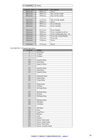| xx111011       | 59 <sub>min</sub>              |                          |
|----------------|--------------------------------|--------------------------|
|                |                                |                          |
| Contents byte6 | <b>Contents byte4</b>          | <b>Description</b>       |
| 00xxxxx        | $0000$ xxxx                    | Never                    |
| 00xxxxx        | $0001$ x x x x x x $x + y = 0$ | Day 1of the month        |
| 00xxxxx        | $0010$ x x x x x               | Day 2of the month        |
| .              | .                              |                          |
| $01$ xxxxxx    | $1111$ xxxx                    | Day 31 of the month      |
| 10xxxxx        | $0000$ xxxx                    | Never                    |
| 10xxxxx        | $0001$ x x x x x x $x + y = 0$ | Every Monday             |
| 10xxxxx        | $0010$ x x x x x               | <b>Every Tuesday</b>     |
| .              | .                              |                          |
| 10xxxxxx       | $0111$ xxxx                    | <b>Every Sunday</b>      |
| 10xxxxxx       | $1000$ xxxx                    | Every weekend (sa & su)  |
| 10xxxxxx       | $1001$ xxxx                    | Every working day (mofr) |

10xxxxxx 1010xxxx Every day except Sunday

10xxxxxx 1011xxxx Every day<br>1100xxxx 1100xxxx Never  $1100xxx$ … … … 11xxxxx 1111xxxx Never

# DATABYTE7 = Program step action

| ° <del>o</del> mm ovep av<br>Contents | <b>Action</b>           |
|---------------------------------------|-------------------------|
| $\overline{0}$                        | 0s25 Pulse              |
| $\mathbf{1}$                          | 1s Pulse                |
| $\overline{2}$                        | 2s Pulse                |
|                                       |                         |
| 119                                   | 1min59s Pulse           |
| 120                                   | 2min Pulse              |
| 121                                   | 2min15s Pulse           |
| $\cdots$                              |                         |
| $\overline{131}$                      | 4min45s Pulse           |
| 132                                   | 5min Pulse              |
| 133                                   | 5min30s Pulse           |
| $\cdots$                              |                         |
| 181                                   | $29\text{min}30s$ Pulse |
| 182                                   | 30min Pulse             |
| 183                                   | 31min Pulse             |
| $\cdots$                              | $\cdots$                |
| 211                                   | 59min Pulse             |
| 212                                   | 1h Pulse                |
| 213                                   | 1h15min Pulse           |
| $\ldots$                              |                         |
| 227                                   | 4h45min Pulse           |
| 228                                   | 5h Pulse                |
| 229                                   | 5h30min Pulse           |
| $\cdots$                              |                         |
| 237                                   | 9h30min Pulse           |
| 238                                   | 10h Pulse               |
| 239                                   | 11h Pulse               |
| $\ldots$                              | $\cdots$                |
| 246                                   | 18h Pulse               |
| 247                                   | Press                   |
| 248                                   | <b>Long Press</b>       |
| 249                                   | Release                 |
| 250                                   | Lock                    |
| 251                                   | Unlock                  |
| 252                                   | Sensor: Safe mode       |
| 253                                   | Sensor: Night mode      |
| 254                                   | Sensor: Day mode        |
| 255                                   | Sensor: Comfort mode    |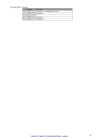# DATABYTE8 = Channel

| Contents                | Channel                         |
|-------------------------|---------------------------------|
|                         | Channel 1 or temperature sensor |
|                         | Channel 2                       |
| $\bullet\bullet\bullet$ | $\cdots$                        |
|                         | Channel 7                       |
|                         | Channel 8                       |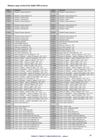# **Memory map version 0 for build 1350 or lower:**

| <b>Address</b>     | <b>Contents</b>                                                                                                                           | <b>Address</b>     | <b>Contents</b>                                                                                                       |
|--------------------|-------------------------------------------------------------------------------------------------------------------------------------------|--------------------|-----------------------------------------------------------------------------------------------------------------------|
| H'0000'            | Channel 1 name character 1                                                                                                                | H'0001'            | Channel 1 name character 2                                                                                            |
| $\cdots$           |                                                                                                                                           | $\ldots$           |                                                                                                                       |
| H'000E'            | Channel 1 name character 15                                                                                                               | $\rm H'000F'$      | Channel 1 name character 16                                                                                           |
| H'0010'            | Channel 1 reaction time                                                                                                                   | H'0011'            | Channel 1 start function                                                                                              |
| H'0012'            | Channel 1 end function                                                                                                                    | H'0013'            | Channel 1 mode                                                                                                        |
| H'0014'            | Channel 2 name character 1                                                                                                                | H'0015'            | Channel 2 name character 2                                                                                            |
|                    |                                                                                                                                           |                    |                                                                                                                       |
| H'0022'            | Channel 2 name character 15                                                                                                               | H'0023'            | Channel 2 name character 16                                                                                           |
| H'0024'            | Channel 2 reaction time                                                                                                                   | H'0025'            | Channel 2 start function                                                                                              |
| $\rm H'0026'$      | Channel 2 end function                                                                                                                    | H'0027'            | Channel 2 mode                                                                                                        |
|                    |                                                                                                                                           | $\ldots$           |                                                                                                                       |
| H'008C'            | Channel 8 name character 1                                                                                                                | H'0089'            | Channel 8 name character 2                                                                                            |
|                    |                                                                                                                                           | $\ldots$           |                                                                                                                       |
| H'009A'            | Channel 8 name character 15                                                                                                               | H'009B'            | Channel 8 name character 16                                                                                           |
| H'009C'            | Channel 8 reaction time                                                                                                                   | H'009D'            | Channel 8 start function                                                                                              |
| H'009E'            | Channel 8 end function                                                                                                                    | H'009F'            | Channel 8 mode                                                                                                        |
| H'00A0'            | Long pressed delay                                                                                                                        | H'00A1'            | Dual function long pressed time                                                                                       |
| H'00A2'            | Led backlight intensity                                                                                                                   | H'00A3'            | Led intensity                                                                                                         |
| H'00A4'            | Alarm clock configuration                                                                                                                 | H'00A5'            | Wake up 1 hour $(023)$                                                                                                |
| H'00A6'            | Wake up 1 minutes $(059)$                                                                                                                 | H'00A7'            | Go to bed 1 hour $(023)$                                                                                              |
| H'00A8'            | Go to bed 1 minutes $(059)$                                                                                                               | H'00A9'            | Wake up 2 hour $(023)$                                                                                                |
| H'00AA'            | Wake up 2 minutes $(059)$                                                                                                                 | H'00AB'            | Go to bed 2 hour $(023)$                                                                                              |
| H'00AC'            | Go to bed 2 minutes $(059)$                                                                                                               | H'00AD'            | Sunrise hour at 21 December (023)                                                                                     |
| H'00AE'            | Sunrise minutes at 21 December (059)                                                                                                      | H'00AF'            | Sunrise 21 January – sunrise 5 January (-128'127')                                                                    |
| H'00B0'            | Sunrise 5 February - sunrise 21 January (-128'127')                                                                                       | H'00B1'            | Sunrise 21 February - sunrise 5 February (-128'127')                                                                  |
| H'00B2'            | Sunrise 5 March - sunrise 21 February (-128'127')                                                                                         | H'00B3'            | Sunrise 21 March – sunrise 5 March $(-128^{\circ} \dots 127^{\circ})$                                                 |
| H'00B4'            | Sunrise 5 April – sunrise 21 March (-128'127')                                                                                            | H'00B5'            | Sunrise 21 April – sunrise 5 April (-128'127')                                                                        |
| H'00B6'<br>H'00B8' | Sunrise 5 May - sunrise 21 April (-128'127')                                                                                              | H'00B7'<br>H'00B9' | Sunrise 21 May – sunrise 5 May (-128'127')                                                                            |
| H'00BA'            | Sunrise 5 June – sunrise 21 May $(-128^{\circ} \dots 127^{\circ})$<br>Sunrise 5 July – sunrise 21 June $(-128^{\circ} \dots 127^{\circ})$ | H'00BB'            | Sunrise 21 June – sunrise 5 June $(-128$ 127')<br>Sunrise 21 July – sunrise 5 July $(-128^{\circ} \dots 127^{\circ})$ |
| H'00BC'            | Sunrise 5 August – sunrise 21 July $(-128^{\circ} \dots 127^{\circ})$                                                                     | H'00BD'            | Sunrise 21 August – sunrise 5 August $(-128$ '127')                                                                   |
| H'00BE'            | Sunrise 5 September – sunrise 21 August (-128'127')                                                                                       | H'00BF'            | Sunrise 21 September – sunrise 5 September (-128127')                                                                 |
| H'00C0'            | Sunrise 5 October – sunrise 21 September (-128'127')                                                                                      | H'00C1'            | Sunrise 21 October – sunrise 5 October (-128'127')                                                                    |
| H'00C2'            | Sunrise 5 November – sunrise 21 October (-128'127')                                                                                       | H'00C3'            | Sunrise 21 November – sunrise 5 November (-128'127')                                                                  |
| H'00C4'            | Sunrise 5 December – sunrise 21 November (-128'127')                                                                                      | H'00C5'            | Sunrise 21 December – sunrise 5 December (-128'127')                                                                  |
| H'00C6'            | Sunrise 5 January – sunrise 21 December (-128'127')                                                                                       | H'00C7'            | Sunset hour at 21 December (023)                                                                                      |
| $H'00C8'$          | Sunset minutes at 21 December (059)                                                                                                       | H'00C9'            | Sunset 21 January – sunset 5 January (-128'127')                                                                      |
| H'00CA'            | Sunset 5 February – sunset 21 January (-128'127')                                                                                         | H'00CB'            | Sunset 21 February - sunset 5 February (-128'127')                                                                    |
| H'00CC'            | Sunset 5 March – sunset 21 February $(-128^{\circ} \dots 127^{\circ})$                                                                    | H'00CD'            | Sunset 21 March – sunset 5 March $(-128^{\circ} \dots 127^{\circ})$                                                   |
| H'00CE'            | Sunset 5 April - sunset 21 March (-128'127')                                                                                              | H'00CF'            | Sunset 21 April – sunset 5 April $(-128^{\circ} \dots 127^{\circ})$                                                   |
| H'00D0'            | Sunset 5 May – sunset 21 April (-128'127')                                                                                                | H'00D1'            | Sunset 21 May – sunset 5 May (-128'127')                                                                              |
| H'00D2'            | Sunset 5 June – sunset 21 May $(-128^{\circ} \dots 127^{\circ})$                                                                          | H'00D3'            | Sunset 21 June – sunset 5 June $(-128^{\circ} \dots 127^{\circ})$                                                     |
| H'00D4'            | Sunset 5 July – sunset 21 June $(-128$ 127')                                                                                              | H'00D5'            | Sunset 21 July – sunset 5 July (-128'127')                                                                            |
| H'00D6'            | Sunset 5 August – sunset 21 July (-128'127')                                                                                              | H'00D7'            | Sunset 21 August – sunset 5 August $(-128^{\circ} \dots 127^{\circ})$                                                 |
| H'00D8'            | Sunset 5 September – sunset 21 August (-128'127')                                                                                         | H'00D9'            | Sunset 21 September – sunset 5 September (-128'127')                                                                  |
| H'00DA'            | Sunset 5 October – sunset 21 September (-128'127')                                                                                        | H'00DB'            | Sunset 21 October – sunset 5 October $\overline{(-128\cdot .127)}$                                                    |
| H'00DC'            | Sunset 5 November – sunset 21 October $(-128^{\circ} \dots 127^{\circ})$                                                                  | H'00DC'            | Sunset 21 November – sunset 5 November (-128'127')                                                                    |
| H'00DE'            | Sunset 5 December – sunset 21 November (-128'127')                                                                                        | H'00DF'            | Sunset 21 December – sunset 5 December (-128'127')                                                                    |
| H'00E0'            | Sunset 5 January – sunset 21 December $(-128^{\circ} \dots 127^{\circ})$                                                                  | H'00E1'            | Sensor name character 1                                                                                               |
| H'00E2'            | Sensor name character 2                                                                                                                   | H'00E3'            | Sensor name character 3                                                                                               |
|                    |                                                                                                                                           |                    |                                                                                                                       |
| H'00F0'            | Sensor name character 16                                                                                                                  | $H'00F1'$          | Temp. sensor: zone                                                                                                    |
| H'00F2'            | Temp. sensor: flags                                                                                                                       | H'00F3'            | Temp. sensor: calibration offset                                                                                      |
| H'00F4'<br>H'00F6' | Temp. sensor: calibration gain<br>Temp. sensor: boost difference                                                                          | H'00F5'            | Temp. sensor: hysteresis                                                                                              |
| H'00F8'            | Temp. sensor: pump delayed off                                                                                                            | H'00F7'<br>H'00F9' | Temp. sensor: Pump delayed on<br>Temp. sensor: min switching time                                                     |
| H'00FA'            | Temp. sensor: default sleep time low byte                                                                                                 | H'00FB'            | Temp. sensor: default sleep time high byte                                                                            |
|                    |                                                                                                                                           |                    |                                                                                                                       |
| H'00FC'<br>H'00FE' | Temp. sensor: heater lower temperature range<br>Temp. sensor: heater safe temperature set                                                 | H'00FD'<br>H'00FF' | Temp. sensor: heater upper temperature range<br>Temp. sensor: heater night temperature set                            |
| H'0100'            | Temp. sensor: heater day temperature set                                                                                                  | H'0101'            | Temp. sensor: heater comfort temperature set                                                                          |
| H'0102'            | Temp. sensor: cooler lower temperature range                                                                                              | H'0103'            | Temp. sensor: cooler upper temperature range                                                                          |
| H'0104'            | Temp. sensor: cooler safe temperature set                                                                                                 | H'0105'            | Temp. sensor: cooler night temperature set                                                                            |
| H'0106'            | Temp. sensor: cooler day temperature set                                                                                                  | H'0107'            | Temp. sensor: cooler comfort temperature set                                                                          |
| H'0108'            | Temp. sensor: alarm 1 temperature set                                                                                                     | H'0109'            | Temp. sensor: alarm 2 temperature set                                                                                 |
|                    |                                                                                                                                           |                    |                                                                                                                       |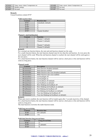| H'010A' | sensor: alarm 3<br>'emp.<br>temperature set | H'010B' | sensor: alarm 4 temperature set<br>emp. |
|---------|---------------------------------------------|---------|-----------------------------------------|
| H'010C' | Module settings                             | H'010D' | Not used                                |
| H'010E' | Not used                                    | H'010F' | Not used                                |

# **Remark:**

Unused locations contain H'FF'

| Valid reaction times |  |
|----------------------|--|
|----------------------|--|

| <b>Contents</b> | <b>Reaction time</b> |
|-----------------|----------------------|
| H'01'           | immediatly (default) |
| H'4C'           | 1s                   |
| H'99'           | 2s                   |
| H'E0'           | 3s                   |
| H'FF'           | Channel disabled     |

# *Channel x start/end function*

| <b>Contents</b> | <b>Function</b>     |
|-----------------|---------------------|
|                 | Channel 1 (default) |
|                 | Channel 2 (default) |
|                 | $\cdots$            |
|                 | Channel 7 (default) |
|                 | Channel 8 (default) |

# **Remark:**

For a normal one function button, the start and end function channel are the same.

For a multi function button, the start function channel must be less than the end function. At every press the next channel will be send. When the end function channel is reached, the start channel will be send again at the next press.

For a dual function button, the start function channel will be send at a short press or the end function will be send at a long press.

# *Channels mode*

| <b>Contents</b> | <b>Description</b>                           |
|-----------------|----------------------------------------------|
| B'xxxxxxx0'     | Dual function disabled (default)             |
| B'xxxxxx1'      | Dual function enabled                        |
| B'xxxxxx0x'     | Multi-function auto reset disabled (default) |
| B'xxxxx1x'      | Multi-function auto reset enabled            |
| B'xxxxx0xx'     | Led backlight off                            |
| B'xxxxx1xx'     | Led backlight on                             |
| B'xxxx0xxx'     | Led feedback off (default)                   |
| B'xxxx1xxx'     | Led feedback on (default)                    |
| B'xxx0xxxx'     | Slow blinking led feedback off               |
| B'xxx1xxxx'     | Slow blinking led feedback on (default)      |
| B'xx0xxxxx'     | Fast blinking led feedback off               |
| B'xx1xxxx'      | Fast blinking led feedback on (default)      |
| B'x0xxxxxx'     | Very fast blinking led feedback off          |
| B'x1xxxxxx'     | Very fast blinking led feedback on (default) |

#### **Remark:**

When auto reset is enabled, the start function will be loaded again after 3 seconds inactivity of the channel. For a dual function button, the start function channel will be send at a short press or the end function will be send at a long press.

The dual function overwrites the multi-function mode.

#### *Valid long pressed delay*

| <b>Contents</b> | <b>Reaction time</b> |
|-----------------|----------------------|
| H'40'           | $0.8s$ (default)     |
| H'80'           | 1.6s                 |

# *Valid dual function long pressed times*

| <b>Contents</b> | Long pressed time |
|-----------------|-------------------|
| H'4C'           |                   |
| H'99'           | 2s (default)      |
| H'E0            |                   |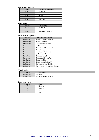# *Led backlight intensity*

| <b>Contents</b> | Led backlight intensity |
|-----------------|-------------------------|
| H'01'           | Minimum                 |
| $\cdots$        | $\cdots$                |
| H'05'           | default                 |
| $\cdots$        | $\cdots$                |
| H'0F'           | Maximum                 |

# *Led intensity*

| ------------    |                      |  |
|-----------------|----------------------|--|
| <b>Contents</b> | <b>Led</b> intensity |  |
| H'10'           | Minimum              |  |
| $\cdots$        | $\cdots$             |  |
|                 | Maximum (default)    |  |

# *Alarm clock configuration*

| <b>Contents</b> | <b>Channel locked/unlocked</b>      |  |
|-----------------|-------------------------------------|--|
| B'xxxxxx0'      | Alarm 1 disabled (default)          |  |
| B'xxxxxx1'      | Alarm 1 enabled                     |  |
| B'0xxxxx0x'     | Local alarm 1 (default)             |  |
| B'1xxxx1x'      | Global alarm 1                      |  |
| B'xxxxx0xx'     | Alarm 2 disabled (default)          |  |
| B'xxxxx1xx'     | Alarm 2 enabled                     |  |
| B'xxxx0xxx'     | Local alarm 2 (default)             |  |
| B'xxxx1xxx'     | Global alarm 2                      |  |
| B'xxx0xxxx'     | Sunrise disabled                    |  |
| B'xxx1xxxx'     | Sunrise enabled (default)           |  |
| B'xx0xxxxx'     | Sunset disabled                     |  |
| B'xx1xxxx'      | Sunset enabled (default)            |  |
| B'x0xxxxxx'     | Day light savings disabled          |  |
| B'x1xxxxxx'     | Day light savings enabled (default) |  |

# *Module settings*

| <b>Contents</b> | <b>Description</b>        |
|-----------------|---------------------------|
| B'x0xxxxxx'     | Keybeep off               |
| B'x1xxxxxx'     | Keybeep enabled (default) |

#### *Temp. sensor zone*

| <b>Contents</b>         | <b>Zone</b> |
|-------------------------|-------------|
|                         | No zone     |
|                         | Zone $1$    |
| $\bullet\bullet\bullet$ | $\cdots$    |
|                         | Zone 7      |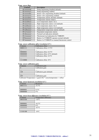# *Temp. sensor flags*

| <b>Contents</b>       | <b>Description</b>                              |
|-----------------------|-------------------------------------------------|
| B'xxxxxxx0'           | Pump unjamming disabled (default)               |
| B'xxxxxx1'            | Pump unjamming enabled                          |
| B'xxxxx0x'            | Heater valve unjamming disabled (default)       |
| B'xxxxx1x'            | Heater valve unjamming enabled                  |
| B'xxxxx0xx'           | Temperature alarms absolute (default)           |
| B'xxxxx1xx'           | Temperature alarms relative                     |
| B'xxxx0xxx'           | Low temperature alarm $1 \& 2$                  |
| B'xxxx1xxx'           | High temperature alarm $1 \& 2$ (default)       |
| B'xxx0xxxx'           | Low temperature alarm $3 & 4$                   |
| $B'$ xxx $1$ xxx $x'$ | High temperature alarm $3 \& 4$ (default)       |
| B'xx0xxxx'            | Independent temperature alarms (default)        |
| B'xx1xxxxx'           | Dependent temperature alarms                    |
| B'x0xxxxxx'           | Normal Led indication (default)                 |
| B'x1xxxxx'            | Thermostat Led indication for VMBGP4            |
| B'OXXXXXXX'           | Button 4 of VMBGP4 operates normal (default)    |
| B'1xxxxxx'            | Button 4 of VMBGP4 as manual thermostat control |

# *Temp. sensor calibration offset (resolution 0.5°):*

| Contents | Calibration offset                               |  |
|----------|--------------------------------------------------|--|
| 00001111 | Calibration offset $+7.5$ °C                     |  |
| .        | .                                                |  |
| 00000001 | Calibration offset $+0.5$ °C                     |  |
| 00000000 | Calibration offset $+0$ <sup>o</sup> C (default) |  |
| 11111111 | Calibration offset $-0.5$ <sup>o</sup> C         |  |
| $\cdots$ | $\cdots$                                         |  |
| 11110000 | Calibration offset $-8^{\circ}$ C                |  |

# *Temp. sensor calibration gain:*

| Contents                                                                                      | Calibration gain           |  |
|-----------------------------------------------------------------------------------------------|----------------------------|--|
|                                                                                               | Calibration gain           |  |
| $\cdots$                                                                                      | $\cdots$                   |  |
| 128                                                                                           | Calibration gain (default) |  |
| $\cdot$                                                                                       | $\cdots$                   |  |
| 255                                                                                           | Calibration gain           |  |
| $C_1$ 1.1 $\ldots$ 1.1 $\ldots$ $\ldots$ $\ldots$ $\ldots$ $\ldots$ $\ldots$ $C_{n}$ $\ldots$ |                            |  |

Calibrated Temperature = (gain/128) \* sensortemperature + offset

# *Temp. sensor hysteresis (resolution 0.5°):*

| <b>Contents</b> | <b>Hysteresis</b> |
|-----------------|-------------------|
| 00011111        | $15.5^{\circ}$ C  |
|                 |                   |
| 00000001        | $0.5^{\circ}$ C   |
| 00000000        | ∩∘∩               |
|                 |                   |

# *Temp. sensor boost difference (resolution 0.5°):*

| Contents | Temperature difference |
|----------|------------------------|
| 00010100 | $+10^{\circ}$ C        |
|          |                        |
| 00000001 | $+0.5$ °C              |
| 00000000 | $0^{\circ}$ C          |
| 11111111 | $-0.5$ °C              |
|          |                        |
| 11101100 | $-10^{\circ}$ C        |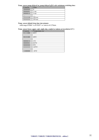# *Temp. sensor pump delayed on, pump delayed off & valve minimum switching time:*

| Contents | Time              |
|----------|-------------------|
| 00000000 |                   |
| 00000001 | sec               |
| 00000010 | 2 sec             |
| $\cdots$ | $\cdots$          |
| 11111110 | $254 \text{ sec}$ |
| 11111111 | $255$ sec         |

# *Temp. sensor default sleep time into minutes*

valid range H'0001' to H'FEFF' or 1min to 65.279min

# *Temp. sensor lower, upper, safe, night, day, comfort or alarm set (resolution 0.5°):*

| Contents | Temperature set |
|----------|-----------------|
| 01111000 | $60^{\circ}$ C  |
|          |                 |
| 00101000 | $20^{\circ}$ C  |
|          |                 |
| 00000010 | $1^{\circ}C$    |
| 00000001 | $0.5^{\circ}$ C |
| 00000000 | $0^{\circ}$ C   |
| 11111111 | $-0.5$ °C       |
|          |                 |
| 11000000 | $-32^{\circ}$ C |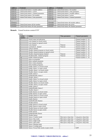| <b>Address</b> | <b>Contents</b>                        | <b>Address</b> | <b>Contents</b>                         |
|----------------|----------------------------------------|----------------|-----------------------------------------|
| H'0110'        | Linked Push button 1 module address    | H'0111'        | Linked Push button 1 bit number         |
| H'0112'        | Linked Push button 1 action            | H'0113'        | Linked Push button 1 time parameter     |
| H'0114'        | Linked Push button 1 channel parameter | H'0115'        | Linked Push button 2 module address     |
| H'0116'        | Linked Push button 2 bit number        | H'0117'        | Linked Push button 2 action             |
| H'0118'        | Linked Push button 2 time parameter    | H'0119'        | Linked Push button 2 channel parameter  |
| H'011A'        | $\cdots$                               | H'011B'        | $\cdots$                                |
| $\cdots$       | $\cdots$                               | $\cdots$       | $\cdots$                                |
| H'01FA'        | $\cdots$                               | H'01FB'        | Linked Push button 48 module address    |
| H'01FC'        | Linked Push button 48 bit number       | H'01FD'        | Linked Push button 48 action            |
| H'01FE'        | Linked Push button 48 time parameter   | H'01FF'        | Linked Push button 48 channel parameter |

# **Remark:** Unused locations contain H'FF'

| <b>Action</b>  | <b>Action</b>                            | Time parameter            | <b>Channel parameter</b> |
|----------------|------------------------------------------|---------------------------|--------------------------|
| number         |                                          |                           |                          |
| $\overline{0}$ | Switch status led indication             | $\blacksquare$            | Channel number (18)      |
| 1              | Lock channel at closed switch            | $\overline{\phantom{a}}$  | Channel number (18)      |
| $\overline{2}$ | Lock channel at opened switch            | $\overline{a}$            | Channel number (18)      |
| 3              | Lock channel                             | Timeout                   | Channel number (18)      |
| $\overline{4}$ | Lock/unlock channel                      | Timeout                   | Channel number (18)      |
| 5              | Unlock channel                           | $\mathcal{L}$             | Channel number (18)      |
| 6              | Disable channel program at closed switch | $\overline{\phantom{a}}$  | Channel number (18)      |
| $\overline{7}$ | Disable channel program at opened switch | $\equiv$                  | Channel number (18)      |
| 8              | Disable channel program channel          | Timeout                   | Channel number (18)      |
| 9              | Disable/enable channel program           | Timeout                   | Channel number (18)      |
| 10             | Enable channel program                   | $\mathbf{r}$              | Channel number (18)      |
| 11             | Select no programs                       | $\overline{\phantom{a}}$  |                          |
| 12             | Select summer programs                   | $\overline{\phantom{a}}$  |                          |
| 13             | Select winter programs                   | $\blacksquare$            | $\overline{a}$           |
| 14             | Select holiday programs                  |                           |                          |
| 15             | Enable Alarm 1 at closed switch          | $\mathbb{Z}^{\mathbb{Z}}$ | $\mathbf{r}$             |
| 16             | Enable Alarm 1 at open switch            | $\overline{\phantom{a}}$  | $\overline{\phantom{a}}$ |
| 17             | Disable Alarm 1 at closed switch         | $\overline{\phantom{a}}$  |                          |
| 18             | Disable Alarm 1 at open switch           | $\overline{\phantom{a}}$  |                          |
| 19             | Enable Alarm 1                           | $\overline{\phantom{a}}$  |                          |
| 20             | Enable/Disable Alarm 1                   | $\mathbf{r}$              | $\overline{a}$           |
| 21             | Disable Alarm 1                          | $\blacksquare$            | $\blacksquare$           |
| 22             | Enable Alarm 2 at closed switch          |                           |                          |
| 23             | Enable Alarm 2 at open switch            | $\blacksquare$            | $\overline{\phantom{a}}$ |
| 24             | Disable Alarm 2 at closed switch         | $\overline{\phantom{a}}$  | $\overline{a}$           |
| 25             | Disable Alarm 2 at open switch           | $\equiv$                  |                          |
| 26             | Enable Alarm 2                           | $\mathcal{L}$             | $\overline{\phantom{a}}$ |
| 27             | Enable/Disable Alarm 2                   | $\overline{\phantom{a}}$  | $\overline{\phantom{a}}$ |
| 28             | Disable Alarm 2                          | $\mathcal{L}$             | $\equiv$                 |
| 29             | Enable Sunrise at closed switch          | $\overline{\phantom{a}}$  | $\overline{a}$           |
| 30             | Enable Sunrise at open switch            | $\blacksquare$            |                          |
| 31             | Disable Sunrise at closed switch         | $\mathcal{L}$             | $\overline{\phantom{a}}$ |
| 32             | Disable Sunrise at open switch           | $\overline{\phantom{a}}$  | $\overline{\phantom{a}}$ |
| 33             | <b>Enable Sunrise</b>                    | $\equiv$                  |                          |
| 34             | Enable/Disable Sunrise                   | $\blacksquare$            | $\overline{a}$           |
| 35             | Disable Sunrise                          |                           |                          |
| 36             | Enable Sunset at closed switch           | $\mathbf{r}$              | $\sim$                   |
| 37             | Enable Sunset at open switch             | $\overline{\phantom{a}}$  | $\overline{\phantom{a}}$ |
| 38             | Disable Sunset at closed switch          | $\overline{\phantom{a}}$  |                          |
| 39             | Disable Sunset at open switch            | $\blacksquare$            |                          |
| 40             | <b>Enable Sunset</b>                     |                           |                          |
| 41             | Enable/Disable Sunset                    | $\mathbb{L}$              | $\frac{1}{2}$            |
| 42             | Disable Sunset                           |                           |                          |
| 43             | Sensor: Comfort mode                     | Short press sleep time    | Long press sleep time    |
| 44             | Sensor: Day mode                         | Short press sleep time    | Long press sleep time    |
| 45             | Sensor: Night mode                       | Short press sleep time    | Long press sleep time    |
| 46             | Sensor: Safe mode                        | Short press sleep time    | Long press sleep time    |
| 47             | Sensor: Heating mode                     | $\bar{\phantom{a}}$       |                          |
|                |                                          |                           |                          |
| 48             | Sensor: Cooling mode                     | $\overline{\phantom{a}}$  |                          |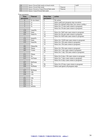| - 50 | Sensor: Forced Safe mode at closed switch |         | 0xFF |
|------|-------------------------------------------|---------|------|
|      | Sensor: Forced Safe mode                  | Timeout |      |
|      | Sensor: Forced or Cancel Forced Safe mode | Timeout |      |
|      | Sensor: Cancel Forced Safe mode           |         |      |

# Time parameter

| <b>Time</b>      | <b>Timeout</b>          | <b>Sleep time</b> | a              |
|------------------|-------------------------|-------------------|----------------|
| parameter        |                         | parameter         |                |
| $\boldsymbol{0}$ | 0s (no timer)           | $\theta$          | N              |
| $\mathbf{1}$     | 1s                      | $\mathbf{1}$      | S <sub>0</sub> |
| $\overline{2}$   | $\overline{2}$ s        | $\overline{2}$    | $\overline{S}$ |
| 3                | 3s                      | $\overline{3}$    | $\overline{S}$ |
| $\cdots$         |                         | $\overline{4}$    | $\overline{S}$ |
| 119              | 1min59s                 |                   |                |
| 120              | 2min                    | 17                | $\overline{S}$ |
| 121              | 2min15s                 | 18                | S <sub>0</sub> |
|                  |                         | 19                | $\overline{S}$ |
| 131              | 4min45s                 |                   |                |
| 132              | 5min                    | 33                | $\overline{S}$ |
| 133              | $5\text{min}30\text{s}$ | 34                | S <sub>0</sub> |
|                  |                         | 35                | S <sub>0</sub> |
| 181              | 29min30s                |                   |                |
| 182              | 30min                   | 45                | $\overline{S}$ |
| 183              | 31min                   | 46                | $\overline{S}$ |
|                  |                         | 47                | $\overline{S}$ |
| 211              | 59min                   |                   | $\cdot$ .      |
| 212              | 1 <sub>h</sub>          | 57                | S <sub>0</sub> |
| 213              | 1h15min                 | 58                | $\overline{S}$ |
| $\ldots$         |                         | 59                | $\overline{S}$ |
| 227              | 4h45min                 |                   |                |
| 228              | 5h                      | 96                | S <sub>0</sub> |
| 229              | 5h30min                 | 97                | $\overline{S}$ |
| $\cdots$         |                         |                   |                |
| 237              | 9h30min                 |                   |                |
| 238              | 10 <sub>h</sub>         |                   |                |
| 239              | 11h                     |                   |                |
| $\cdots$         |                         |                   |                |
| 251              | 23h                     |                   |                |
| 252              | 1d                      |                   |                |
| 253              | $2\mathrm{d}$           |                   |                |
| 254              | 3d                      |                   |                |
| 255              | Infinite                |                   |                |
|                  |                         |                   |                |

| <b>Time</b><br>ameter | <b>Timeout</b>          | <b>Sleep time</b><br>parameter | action                                             |
|-----------------------|-------------------------|--------------------------------|----------------------------------------------------|
| $\mathbf{0}$          | $0s$ (no timer)         | $\Omega$                       | No action                                          |
| $\overline{1}$        | 1s                      | 1                              | Select until next program step execution           |
| $\overline{2}$        | 2s                      | $\overline{2}$                 | Select for default sleep time (see sensor config.) |
| $\overline{3}$        | 3s                      | 3                              | Select for 15 min (auto return to program)         |
| $\cdots$              |                         | $\overline{4}$                 | Select for 30 min (auto return to program)         |
| 119                   | 1min59s                 |                                |                                                    |
| 120                   | 2min                    | 17                             | Select for 3h45 min (auto return to program)       |
| $\overline{121}$      | 2min15s                 | 18                             | Select for 4h min (auto return to program)         |
| $\cdots$              |                         | 19                             | Select for 4h30 min (auto return to program)       |
| 131                   | 4min45s                 | $\cdots$                       |                                                    |
| 132                   | 5min                    | 33                             | Select for 11h30 min (auto return to program)      |
| 133                   | $5\text{min}30\text{s}$ | 34                             | Select for 12h (auto return to program)            |
| $\ddots$              |                         | 35                             | Select for 13h (auto return to program)            |
| 181                   | 29min30s                |                                |                                                    |
| 182                   | 30min                   | 45                             | Select for 23h (auto return to program)            |
| 183                   | 31min                   | 46                             | Select for 1 day (auto return to program)          |
| $\cdots$              |                         | 47                             | Select for 1 day 12h (auto return to program)      |
| $\overline{211}$      | 59min                   | $\cdots$                       |                                                    |
| 212                   | 1 <sub>h</sub>          | 57                             | Select for 6 days 12h (auto return to program)     |
| 213                   | 1h15min                 | 58                             | Select for 7 days (auto return to program)         |
| $\cdots$              |                         | 59                             | Select for 8 days (auto return to program)         |
| 227                   | 4h45min                 |                                |                                                    |
| 228                   | 5 <sub>h</sub>          | 96                             | Select for 45 days (auto return to program)        |
| 229                   | $5h30\overline{min}$    | 97                             | Select and ignore all program steps                |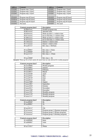| <b>Address</b> | <b>Contents</b>       | <b>Address</b>   | <b>Contents</b>       |
|----------------|-----------------------|------------------|-----------------------|
| H'0200'        | Program step 1 byte1  | H'0201'          | Program step 1 byte2  |
| H'0202'        | Program step 1 byte3  | H'0203'          | Program step 1 byte4  |
| H'0204'        | Program step 1 byte5  | H'0205'          | Program step 1 byte6  |
| $\cdots$       |                       | $\bullet\bullet$ | $\cdot$               |
| H'03F8'        | Program step 85 byte1 | H'03F9'          | Program step 85 byte2 |
| H'03FA'        | Program step 85 byte3 | H'03FB'          | Program step 85 byte4 |
| H'03FC         | Program step 85 byte5 | H'03FD'          | Program step 85 byte6 |
| H'03FE'        | Not used              | H'03FF'          | Not used              |

| Contents program byte1 | <b>Description</b>                 |  |
|------------------------|------------------------------------|--|
| B'000xxxxx'            | Disable program step               |  |
| B'001xxxxx'            | Absolute time                      |  |
| B'010xxxxx'            | Wake up time $1 +$ relative time   |  |
| B'011xxxxx'            | Go to bed time $1 +$ relative time |  |
| B'100xxxxx'            | Wake up time $2 +$ relative time   |  |
| B'101xxxxx'            | Go to bed time $2 +$ relative time |  |
| B'110xxxxx'            | Sunrise + relative time            |  |
| B'111xxxxx'            | Sunset + relative time             |  |
| $B'$ xxx $01111'$      | Rel. time $= 3h45$ min             |  |
|                        |                                    |  |
| $B'$ xxx00001'         | Rel. time $= 15$ min               |  |
| B'xxx00000'            | Rel. time $= 0$                    |  |
| $B'$ xxx $11111'$      | Rel. time $= -15$ min              |  |
| .                      |                                    |  |
| $B'$ xxx $10000'$      | Rel. time $= -4h$                  |  |

**Remark:** Wake up, Go to bed, sunrise & sunset time are only allowed for weekly programs

| Contents program byte2 | <b>Description</b> |
|------------------------|--------------------|
| B'xxxx0000'            | Weekly program     |
| B'xxxx0001'            | January            |
| B'xxxx0010'            | February           |
| B'xxxx0011'            | March              |
| B'xxxx0100'            | April              |
| B'xxxx0101'            | May                |
| B'xxxx0110'            | June               |
| B'xxxx0111'            | July               |
| B'xxxx1000'            | August             |
| B'xxxx1001'            | September          |
| B'xxxx1010'            | October            |
| B'xxxx1011'            | November           |
| B'xxxx1100'            | December           |
| B'xxxx1101'            | Monthly program    |
| B'xxxx1110'            | Monthly program    |
| B'xxxx1111'            | Monthly program    |

| Contents program byte3 | <b>Description</b>                |
|------------------------|-----------------------------------|
| B'xxx00000'            | 0h                                |
| $B'$ xxx $00001'$      | 1h                                |
| $\cdots$               | $\cdots$                          |
| $B'$ xxx $10111'$      | 23h                               |
| B'xx1xxxx'             | Program group 1 (Summer program)  |
| B'x1xxxxxx'            | Program group 2 (Winter program)  |
| B'1xxxxxx'             | Program group 3 (Holiday program) |

| Contents program byte4 | <b>Description</b> |
|------------------------|--------------------|
| B'xx000000'            | 0 <sub>min</sub>   |
| B'xx000001'            | 1 min              |
| $\cdots$               | $\cdots$           |
| B'xx111011'            | 59 <sub>min</sub>  |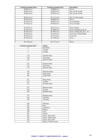| Contents program byte4 | Contents program byte2 | <b>Description</b>       |
|------------------------|------------------------|--------------------------|
| B'00xxxxxx'            | B'0000xxxx'            | Never                    |
| B'00xxxxx'             | B'0001xxxx'            | Day 1of the month        |
| B'00xxxxx'             | B'0010xxxx'            | Day 2of the month        |
| $\cdots$               | $\cdots$               | .                        |
| B'01xxxxxx'            | B'1111xxx'             | Day 31 of the month      |
| B'10xxxxxx'            | B'0000xxxx'            | Never                    |
| B'10xxxxxx'            | B'0001xxxx'            | Every Monday             |
| B'10xxxxxx'            | B'0010xxxx'            | <b>Every Tuesday</b>     |
| $\cdots$               | $\cdots$               | $\cdots$                 |
| B'10xxxxxx'            | B'0111xxxx'            | <b>Every Sunday</b>      |
| B'10xxxxx'             | B'1000xxxx'            | Every weekend (sa & su)  |
| B'10xxxxxx'            | B'1001xxxx'            | Every working day (mofr) |
| B'10xxxxxx'            | B'1010xxxx'            | Every day except Sunday  |
| B'10xxxxx'             | B'1011xxxx'            | Every day                |
| B'10xxxxx'             | B'1100xxxx'            | Never                    |
| $\cdots$               | $\cdots$               | $\cdots$                 |
| B'llxxxxxx'            | B'1111xxxx'            | Never                    |

| Contents program byte5 | <b>Action</b>        |
|------------------------|----------------------|
| $\boldsymbol{0}$       | 0s25 Pulse           |
| $\overline{1}$         | 1s Pulse             |
| $\overline{2}$         | 2s Pulse             |
| $\cdots$               | $\cdots$             |
| 119                    | 1min59s Pulse        |
| 120                    | 2min Pulse           |
| 121                    | 2min15s Pulse        |
| $\ldots$               | $\cdots$             |
| 131                    | 4min45s Pulse        |
| 132                    | 5min Pulse           |
| 133                    | 5min30s Pulse        |
| $\cdots$               | $\cdots$             |
| 181                    | 29min30s Pulse       |
| 182                    | 30min Pulse          |
| 183                    | 31min Pulse          |
| $\cdots$               | $\cdots$             |
| 211                    | 59min Pulse          |
| 212                    | 1h Pulse             |
| 213                    | 1h15min Pulse        |
| $\cdots$               | $\ddotsc$            |
| 227                    | 4h45min Pulse        |
| 228                    | 5h Pulse             |
| 229                    | 5h30min Pulse        |
| $\cdots$               | $\cdots$             |
| 237                    | 9h30min Pulse        |
| 238                    | 10h Pulse            |
| 239                    | 11h Pulse            |
| $\cdots$               | $\cdots$             |
| 246                    | 18h Pulse            |
| 247                    | Press                |
| 248                    | Long Press           |
| 249                    | Release              |
| $\overline{250}$       | Lock                 |
| 251                    | Unlock               |
| 252                    | Sensor: Safe mode    |
| 253                    | Sensor: Night mode   |
| 254                    | Sensor: Day mode     |
| 255                    | Sensor: Comfort mode |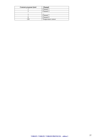| Contents program byte6 | <b>Channel</b>     |
|------------------------|--------------------|
|                        | Channel 1          |
|                        | Channel 2          |
| $\cdot$ .              | $\cdots$           |
|                        | Channel 7          |
|                        | Channel 8          |
| 28                     | Temperature sensor |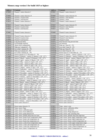# **Memory map version 1 for build 1415 or higher:**

| <b>Address</b>     | <b>Contents</b>                                                                            | <b>Address</b>            | <b>Contents</b>                                                                            |
|--------------------|--------------------------------------------------------------------------------------------|---------------------------|--------------------------------------------------------------------------------------------|
| H'0000'            | Channel 1 name character 1                                                                 | $\rm H'0001'$             | Channel 1 name character 2                                                                 |
|                    |                                                                                            | $\ldots$                  |                                                                                            |
| H'000E'            | Channel 1 name character 15                                                                | H'000F'                   | Channel 1 name character 16                                                                |
| H'0010'            | Channel 1 reaction time                                                                    | H'0011'                   | Channel 1 start function                                                                   |
| H'0012'            | Channel 1 end function                                                                     | H'0013'                   | Channel 1 mode                                                                             |
| H'0014'            | Channel 2 name character 1                                                                 | H'0015'                   | Channel 2 name character 2                                                                 |
|                    |                                                                                            |                           |                                                                                            |
| H'0022'            | Channel 2 name character 15                                                                | H'0023'                   | Channel 2 name character 16                                                                |
| H'0024'            | Channel 2 reaction time                                                                    | H'0025'                   | Channel 2 start function                                                                   |
| H'0026'            | Channel 2 end function                                                                     | H'0027'                   | Channel 2 mode                                                                             |
| H'008C'            | Channel 8 name character 1                                                                 | $\cdots$<br>$\rm H'0089'$ | Channel 8 name character 2                                                                 |
|                    |                                                                                            |                           |                                                                                            |
| H'009A'            | Channel 8 name character 15                                                                | $\cdots$<br>H'009B'       | Channel 8 name character 16                                                                |
| H'009C'            | Channel 8 reaction time                                                                    | H'009D'                   | Channel 8 start function                                                                   |
| H'009E'            | Channel 8 end function                                                                     | H'009F'                   | Channel 8 mode                                                                             |
| H'00A0'            | Long pressed delay                                                                         | H'00A1'                   | Dual function long pressed time                                                            |
| H'00A2'            | Led backlight intensity                                                                    | H'00A3'                   | Led intensity                                                                              |
| H'00A4'            | Alarm clock configuration                                                                  | H'00A5'                   | Wake up 1 hour $(023)$                                                                     |
| H'00A6'            | Wake up 1 minutes $(059)$                                                                  | H'00A7'                   | Go to bed 1 hour $(023)$                                                                   |
| H'00A8'            | Go to bed 1 minutes $(059)$                                                                | H'00A9'                   | Wake up 2 hour $(023)$                                                                     |
| H'00AA'            | Wake up 2 minutes $(059)$                                                                  | H'00AB'                   | Go to bed 2 hour $(023)$                                                                   |
| H'00AC'            | Go to bed 2 minutes $(059)$                                                                | H'00AD'                   | Sunrise hour at 21 December (023)                                                          |
| H'00AE'            | Sunrise minutes at 21 December (059)                                                       | H'00AF'                   | Sunrise 21 January – sunrise 5 January (-128'127')                                         |
| H'00B0'            | Sunrise 5 February – sunrise 21 January (-128'127')                                        | H'00B1'                   | Sunrise 21 February – sunrise 5 February (-128'127')                                       |
| H'00B2'            | Sunrise 5 March - sunrise 21 February (-128'127')                                          | H'00B3'                   | Sunrise 21 March – sunrise 5 March $(-128^{\circ} \dots 127^{\circ})$                      |
| H'00B4'            | Sunrise 5 April – sunrise 21 March (-128'127')                                             | H'00B5'                   | Sunrise 21 April – sunrise 5 April (-128'127')                                             |
| H'00B6'            | Sunrise 5 May - sunrise 21 April (-128'127')                                               | H'00B7'                   | Sunrise 21 May – sunrise 5 May (-128'127')                                                 |
| H'00B8'            | Sunrise 5 June – sunrise 21 May $(-128^{\circ} \dots 127^{\circ})$                         | H'00B9'                   | Sunrise 21 June – sunrise 5 June $(-128$ 127')                                             |
| H'00BA'            | Sunrise 5 July – sunrise 21 June $(-128^{\circ} \dots 127^{\circ})$                        | H'00BB'                   | Sunrise 21 July – sunrise 5 July $(-128^{\circ} \dots 127^{\circ})$                        |
| H'00BC'            | Sunrise 5 August – sunrise 21 July $(-128^{\circ} \dots 127^{\circ})$                      | H'00BD'                   | Sunrise 21 August – sunrise 5 August $(-128^{\circ} \dots 127^{\circ})$                    |
| H'00BE'            | Sunrise 5 September – sunrise 21 August (-128'127')                                        | H'00BF'                   | Sunrise 21 September – sunrise 5 September (-128127')                                      |
| H'00CO'            | Sunrise 5 October – sunrise 21 September (-128'127')                                       | H'00C1'                   | Sunrise 21 October – sunrise 5 October $(-128^{\circ} \dots 127^{\circ})$                  |
| H'00C2'            | Sunrise 5 November – sunrise 21 October (-128'127')                                        | H'00C3'                   | Sunrise 21 November – sunrise 5 November (-128'127')                                       |
| H'00C4'<br>H'00C6' | Sunrise 5 December – sunrise 21 November (-128'127')                                       | H'00C5'<br>H'00C7'        | Sunrise 21 December – sunrise 5 December (-128'127')<br>Sunset hour at 21 December $(023)$ |
| H'00C8'            | Sunrise 5 January – sunrise 21 December (-128'127')<br>Sunset minutes at 21 December (059) | H'00C9'                   | Sunset 21 January – sunset 5 January $(-128^{\circ} \dots 127^{\circ})$                    |
| H'00CA'            | Sunset 5 February – sunset 21 January (-128'127')                                          | H'00CB'                   | Sunset 21 February - sunset 5 February (-128'127')                                         |
| H'00CC'            | Sunset 5 March – sunset 21 February $(-128^{\circ} \dots 127^{\circ})$                     | H'00CD'                   | Sunset 21 March – sunset 5 March (-128'127')                                               |
| H'00CE'            | Sunset 5 April – sunset 21 March (-128'127')                                               | H'00CF'                   | Sunset 21 April - sunset 5 April (-128'127')                                               |
| H'00D0'            | Sunset 5 May – sunset 21 April (-128'127')                                                 | H'00D1'                   | Sunset 21 May – sunset 5 May (-128'127')                                                   |
| H'00D2'            | Sunset 5 June – sunset 21 May $(-128^{\circ} \dots 127^{\circ})$                           | H'00D3'                   | Sunset 21 June – sunset 5 June $(-128^{\circ} \dots 127^{\circ})$                          |
| H'00D4'            | Sunset 5 July – sunset 21 June $(-128^{\circ} \dots 127^{\circ})$                          | H'00D5'                   | Sunset 21 July – sunset 5 July $(-128^{\circ} \dots 127^{\circ})$                          |
| H'00D6'            | Sunset 5 August – sunset 21 July $(-128$ <sup>"</sup> 127")                                | H'00D7'                   | Sunset 21 August – sunset 5 August $(-128^{\circ} \dots 127^{\circ})$                      |
| H'00D8'            | Sunset 5 September – sunset 21 August $(-128$ "127")                                       | H'00D9'                   | Sunset 21 September - sunset 5 September (-128'127')                                       |
| H'00DA'            | Sunset 5 October – sunset 21 September (-128'127')                                         | H'00DB'                   | Sunset 21 October – sunset 5 October $\overline{(-128\cdot .127)}$                         |
| H'00DC'            | Sunset 5 November - sunset 21 October (-128'127')                                          | H'00DC'                   | Sunset 21 November – sunset 5 November (-128'127')                                         |
| H'00DE'            | Sunset 5 December - sunset 21 November (-128'127')                                         | H'00DF'                   | Sunset 21 December – sunset 5 December (-128'127')                                         |
| H'00E0'            | Sunset 5 January – sunset 21 December (-128'127')                                          | H'00E1'                   | Sensor name character 1                                                                    |
| H'00E2'            | Sensor name character 2                                                                    | H'00E3'                   | Sensor name character 3                                                                    |
|                    |                                                                                            | $\cdots$                  |                                                                                            |
| H'00F0'            | Sensor name character 16                                                                   | $H'00F1'$                 | Temp. sensor: zone                                                                         |
| H'00F2'            | Temp. sensor: flags                                                                        | H'00F3'                   | Temp. sensor: calibration offset                                                           |
| H'00F4'            | Temp. sensor: calibration gain                                                             | H'00F5'                   | Temp. sensor: hysteresis                                                                   |
| H'00F6'<br>H'00F8' | Temp. sensor: boost difference<br>Temp. sensor: pump delayed off                           | H'00F7'<br>H'00F9'        | Temp. sensor: Pump delayed on<br>Temp. sensor: min switching time                          |
| H'00FA'            | Temp. sensor: default sleep time low byte                                                  | H'00FB'                   | Temp. sensor: default sleep time high byte                                                 |
| H'00FC'            | Temp. sensor: heater lower temperature range                                               | H'00FD'                   | Temp. sensor: heater upper temperature range                                               |
| H'00FE'            | Temp. sensor: heater safe temperature set                                                  | H'00FF'                   | Temp. sensor: heater night temperature set                                                 |
| H'0100'            | Temp. sensor: heater day temperature set                                                   | H'0101'                   | Temp. sensor: heater comfort temperature set                                               |
| H'0102'            | Temp. sensor: cooler lower temperature range                                               | H'0103'                   | Temp. sensor: cooler upper temperature range                                               |
| H'0104'            | Temp. sensor: cooler safe temperature set                                                  | H'0105'                   | Temp. sensor: cooler night temperature set                                                 |
| H'0106'            | Temp. sensor: cooler day temperature set                                                   | H'0107'                   | Temp. sensor: cooler comfort temperature set                                               |
| $H'0108'$          | Temp. sensor: alarm 1 temperature set                                                      | H'0109'                   | Temp. sensor: alarm 2 temperature set                                                      |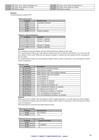| H'010A' | Temp. sensor: alarm 3 temperature set | H'010B' | Temp. sensor: alarm 4 temperature set |
|---------|---------------------------------------|---------|---------------------------------------|
| H'010C' | Temp. sensor alarm1 & 2 modes         | H'010D' | Temp. sensor alarm3 & 4 modes         |
| H'010E' | Module settings                       | H'010F' | Module terminator                     |

# **Remark:**

Unused locations contain H'FF'

| Valid reaction times |  |
|----------------------|--|
|----------------------|--|

| <b>Contents</b> | <b>Reaction time</b> |
|-----------------|----------------------|
| H'01'           | immediatly (default) |
| H'4C'           | 1s                   |
| H'99'           | 2s                   |
| H'E0'           | 3s                   |
| H'FF'           | Channel disabled     |

# *Channel x start/end function*

| <b>Contents</b> | <b>Function</b>     |
|-----------------|---------------------|
|                 | Channel 1 (default) |
|                 | Channel 2 (default) |
|                 | $\cdots$            |
|                 | Channel 7 (default) |
|                 | Channel 8 (default) |

# **Remark:**

For a normal one function button, the start and end function channel are the same.

For a multi function button, the start function channel must be less than the end function. At every press the next channel will be send. When the end function channel is reached, the start channel will be send again at the next press.

For a dual function button, the start function channel will be send at a short press or the end function will be send at a long press.

# *Channels mode*

| <b>Contents</b> | <b>Description</b>                           |
|-----------------|----------------------------------------------|
| B'xxxxxxx0'     | Dual function disabled (default)             |
| B'xxxxxx1'      | Dual function enabled                        |
| B'xxxxxx0x'     | Multi-function auto reset disabled (default) |
| B'xxxxx1x'      | Multi-function auto reset enabled            |
| B'xxxxx0xx'     | Led backlight off                            |
| B'xxxxx1xx'     | Led backlight on                             |
| B'xxxx0xxx'     | Led feedback off (default)                   |
| B'xxxx1xxx'     | Led feedback on (default)                    |
| B'xxx0xxxx'     | Slow blinking led feedback off               |
| B'xxx1xxxx'     | Slow blinking led feedback on (default)      |
| B'xx0xxxx'      | Fast blinking led feedback off               |
| B'xx1xxxx'      | Fast blinking led feedback on (default)      |
| B'x0xxxxxx'     | Very fast blinking led feedback off          |
| B'x1xxxxxx'     | Very fast blinking led feedback on (default) |

# **Remark:**

When auto reset is enabled, the start function will be loaded again after 3 seconds inactivity of the channel. For a dual function button, the start function channel will be send at a short press or the end function will be send at a long press.

The dual function overwrites the multi-function mode.

# *Valid long pressed delay*

| <b>Contents</b> | <b>Reaction time</b> |
|-----------------|----------------------|
| H'40'           | $0.8s$ (default)     |
| H'80'           | .6s                  |

# *Valid dual function long pressed times*

| <b>Contents</b> | Long pressed time |
|-----------------|-------------------|
| H'4C'           |                   |
| H'99'           | 2s (default)      |
| $_{\rm H, EU}$  |                   |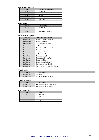# *Led backlight intensity*

| <b>Contents</b> | Led backlight intensity |
|-----------------|-------------------------|
| H'01'           | Minimum                 |
| $\cdots$        | $\cdots$                |
| H'05'           | default                 |
| $\cdots$        | $\cdots$                |
| H'0F'           | Maximum                 |

# *Led intensity*

| ------------    |                      |  |
|-----------------|----------------------|--|
| <b>Contents</b> | <b>Led</b> intensity |  |
| H'10'           | Minimum              |  |
| $\cdots$        | $\cdots$             |  |
| H'29'           | Maximum (default)    |  |

# *Alarm clock configuration*

| <b>Contents</b> | <b>Channel locked/unlocked</b>      |
|-----------------|-------------------------------------|
| B'xxxxxxx0'     | Alarm 1 disabled (default)          |
| B'xxxxxx1'      | Alarm 1 enabled                     |
| B'0xxxxx0x'     | Local alarm 1 (default)             |
| B'1xxxxx1x'     | Global alarm 1                      |
| B'xxxxx0xx'     | Alarm 2 disabled (default)          |
| B'xxxxx1xx'     | Alarm 2 enabled                     |
| B'xxxx0xxx'     | Local alarm 2 (default)             |
| B'xxxx1xxx'     | Global alarm 2                      |
| B'xxx0xxxx'     | Sunrise disabled                    |
| B'xxx1xxxx'     | Sunrise enabled (default)           |
| B'xx0xxxxx'     | Sunset disabled                     |
| B'xx1xxxx'      | Sunset enabled (default)            |
| B'x0xxxxxx'     | Day light savings disabled          |
| B'x1xxxxxx'     | Day light savings enabled (default) |

# *Module settings*

| ------- <i>-------</i> ---- |                           |  |
|-----------------------------|---------------------------|--|
| Contents                    | <b>Description</b>        |  |
| B'x0xxxxxx'                 | Keybeep off               |  |
| B'x1xxxxx'                  | Keybeep enabled (default) |  |

#### *Module terminator*

| -------------------- |                              |  |
|----------------------|------------------------------|--|
| Contents             | <i><b>Description</b></i>    |  |
| B'xxxxxxx0'          | Module terminator not placed |  |
| B'xxxxxxx1'          | Module terminator placed     |  |

# *Temp. sensor zone*

| <b>Contents</b> | Zone     |
|-----------------|----------|
|                 | No zone  |
|                 | Zone $1$ |
| $\cdots$        | $\cdots$ |
|                 | Zone 7   |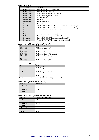# *Temp. sensor flags*

| <b>Contents</b> | <b>Description</b>                                                        |
|-----------------|---------------------------------------------------------------------------|
| B'xxxxxxx0'     | Pump unjamming disabled (default)                                         |
| B'xxxxxx1'      | Pump unjamming enabled                                                    |
| B'xxxxx0x'      | Heater valve unjamming disabled (default)                                 |
| B'xxxxx1x'      | Heater valve unjamming enabled                                            |
| B'xxxxx0xx'     | Not used (default)                                                        |
| B'xxxxx1xx'     | Not used                                                                  |
| B'xxxx0xxx'     | Not used (default)                                                        |
| B'xxxx1xxx'     | Not used                                                                  |
| B'xxx0xxxx'     | VMBGP4 local thermostat control starts sleep timer at long press(default) |
| B'xxx1xxxx'     | VMBGP4 local thermostat control starts sleep timer at short press         |
| B'xx0xxxxx'     | Independent temperature alarms (default)                                  |
| B'xx1xxxx'      | Dependent temperature alarms                                              |
| B'x0xxxxxx'     | Normal Led indication (default)                                           |
| B'x1xxxxxx'     | Thermostat Led indication for VMBGP4                                      |
| B'0xxxxxx'      | Button 4 of VMBGP4 operates normal (default)                              |
| B'1xxxxxx'      | Button 4 of VMBGP4 as local thermostat control                            |

# *Temp. sensor calibration offset (resolution 0.5°):*

| Contents | Calibration offset                               |  |
|----------|--------------------------------------------------|--|
| 00001111 | Calibration offset $+7.5$ °C                     |  |
| $\cdots$ | $\cdots$                                         |  |
| 00000001 | Calibration offset $+0.5$ °C                     |  |
| 00000000 | Calibration offset $+0$ <sup>o</sup> C (default) |  |
| 11111111 | Calibration offset $-0.5$ <sup>o</sup> C         |  |
| $\cdots$ | $\cdots$                                         |  |
| 11110000 | Calibration offset -8°C                          |  |

# *Temp. sensor calibration gain:*

| Contents                                                                                                                                   | Calibration gain           |  |
|--------------------------------------------------------------------------------------------------------------------------------------------|----------------------------|--|
|                                                                                                                                            | Calibration gain           |  |
| $\cdots$                                                                                                                                   | $\cdots$                   |  |
| 128                                                                                                                                        | Calibration gain (default) |  |
| $\cdots$                                                                                                                                   | $\cdots$                   |  |
| 255                                                                                                                                        | Calibration gain           |  |
| $C_1$ 1.1 $\ldots$ $C_n$ $\ldots$ $C_n$ $\ldots$ $C_n$ $\ldots$ $C_n$ $\ldots$ $C_n$ $\ldots$ $C_n$ $\ldots$ $C_n$ $\ldots$ $C_n$ $\ldots$ |                            |  |

Calibrated Temperature = (gain/128) \* sensortemperature + offset

# *Temp. sensor hysteresis (resolution 0.5°):*

| <b>Contents</b> | <b>Hysteresis</b> |
|-----------------|-------------------|
| 00011111        | $15.5^{\circ}$ C  |
|                 |                   |
| 00000001        | $0.5^{\circ}$ C   |
| 00000000        | ∩∘∩               |
|                 |                   |

# *Temp. sensor boost difference (resolution 0.5°):*

| Contents | Temperature difference |
|----------|------------------------|
| 00010100 | $+10^{\circ}C$         |
|          |                        |
| 00000001 | $+0.5$ °C              |
| 00000000 | $0^{\circ}$ C          |
| 11111111 | $-0.5$ °C              |
|          |                        |
| 11101100 | $-10^{\circ}$ C        |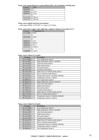# *Temp. sensor pump delayed on, pump delayed off & valve minimum switching time:*

| Contents | Time              |
|----------|-------------------|
| 00000000 |                   |
| 00000001 | 1 sec             |
| 00000010 | 2 sec             |
| $\cdots$ | $\cdots$          |
| 11111110 | $254 \text{ sec}$ |
| 11111111 | $255$ sec         |

# *Temp. sensor default sleep time into minutes*

valid range H'0001' to H'FEFF' or 1min to 65.279min

# *Temp. sensor lower, upper, safe, night, day, comfort or alarm set (resolution 0.5°):*

| Contents | Temperature set |
|----------|-----------------|
| 01111000 | $60^{\circ}$ C  |
|          |                 |
| 00101000 | $20^{\circ}$ C  |
|          |                 |
| 00000010 | $1^{\circ}C$    |
| 00000001 | $0.5^{\circ}$ C |
| 00000000 | $0^{\circ}$ C   |
| 11111111 | $-0.5$ °C       |
|          |                 |
| 11000000 | $-32$ °C        |

# *Temp. sensor Alarm1 & 2 modes*

| <b>Contents</b> | <b>Description</b>                      |
|-----------------|-----------------------------------------|
| B'xxxxx000'     | Low temperature alarm 1                 |
| B'xxxxx001'     | High temperature alarm 1 (default)      |
| B'xxxxx010'     | Anti-frost mode alarm 1                 |
| B'xxxxx011'     | Night mode alarm 1                      |
| B'xxxxx100'     | Day mode alarm 1                        |
| B'xxxx101'      | Comfort mode alarm 1                    |
| B'xxxxx110'     | Night, Day or Comfort mode alarm 1      |
| B'xxxx111'      | Day or Comfort mode alarm 1             |
| B'xxxx0xxx'     | Temperature alarms 1 absolute (default) |
| B'xxxx1xxx'     | Temperature alarms 1 relative           |
| B'x000xxxx'     | Low temperature alarm 2                 |
| B'x001xxxx'     | High temperature alarm 2 (default)      |
| B'x010xxxx'     | Anti-frost mode alarm 2                 |
| B'x011xxxx'     | Night mode alarm 2                      |
| B'x100xxxx'     | Day mode alarm 2                        |
| B'x101xxxx'     | Comfort mode alarm 2                    |
| B'x110xxxx'     | Night, Day or Comfort mode alarm 2      |
| B'x111xxxx'     | Day or Comfort mode alarm 2             |
| B'OXXXXXXX'     | Temperature alarms 2 absolute (default) |
| B'1xxxxxx'      | Temperature alarms 2 relative           |

# *Temp. sensor Alarm3 & 4 modes*

| <b>Contents</b> | <b>Description</b>                      |  |
|-----------------|-----------------------------------------|--|
| B'xxxxx000'     | Low temperature alarm 3                 |  |
| B'xxxxx001'     | High temperature alarm 3 (default)      |  |
| B'xxxx010'      | Anti-frost mode alarm 3                 |  |
| B'xxxx011'      | Night mode alarm 3                      |  |
| B'xxxxx100'     | Day mode alarm 3                        |  |
| B'xxxxx101'     | Comfort mode alarm 3                    |  |
| B'xxxxx110'     | Night, Day or Comfort mode alarm 3      |  |
| B'xxxxx111'     | Day or Comfort mode alarm 3             |  |
| B'xxxx0xxx'     | Temperature alarms 3 absolute (default) |  |
| B'xxxx1xxx'     | Temperature alarms 3 relative           |  |
| B'x000xxxx'     | Low temperature alarm 4                 |  |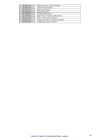| B'x001xxx'  | High temperature alarm 4 (default)      |
|-------------|-----------------------------------------|
| B'x010xxxx' | Anti-frost mode alarm 4                 |
| B'x011xxxx' | Night mode alarm 4                      |
| B'x100xxxx' | Day mode alarm 4                        |
| B'x101xxx'  | Comfort mode alarm 4                    |
| B'x110xxxx' | Night, Day or Comfort mode alarm 4      |
| B'x111xxx'  | Day or Comfort mode alarm 4             |
| B'OXXXXXXX' | Temperature alarms 4 absolute (default) |
| B'1xxxxxxx' | Temperature alarms 4 relative           |
|             |                                         |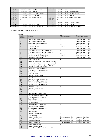| <b>Address</b> | <b>Contents</b>                        | <b>Address</b> | <b>Contents</b>                         |
|----------------|----------------------------------------|----------------|-----------------------------------------|
| H'0110'        | Linked Push button 1 module address    | H'0111'        | Linked Push button 1 bit number         |
| H'0112'        | Linked Push button 1 action            | H'0113'        | Linked Push button 1 time parameter     |
| H'0114'        | Linked Push button 1 channel parameter | H'0115'        | Linked Push button 2 module address     |
| H'0116'        | Linked Push button 2 bit number        | H'0117'        | Linked Push button 2 action             |
| H'0118'        | Linked Push button 2 time parameter    | H'0119'        | Linked Push button 2 channel parameter  |
| H'011A'        | $\cdots$                               | H'011B'        | $\cdots$                                |
| $\cdots$       | $\cdots$                               | $\cdots$       | $\cdots$                                |
| H'01FA'        | $\cdots$                               | H'01FB'        | Linked Push button 48 module address    |
| H'01FC'        | Linked Push button 48 bit number       | H'01FD'        | Linked Push button 48 action            |
| H'01FE'        | Linked Push button 48 time parameter   | H'01FF'        | Linked Push button 48 channel parameter |

# **Remark:** Unused locations contain H'FF'

| <b>Action</b>   | <b>Action</b>                                 | Time parameter           | <b>Channel parameter</b> |
|-----------------|-----------------------------------------------|--------------------------|--------------------------|
| number          |                                               |                          |                          |
| $\overline{0}$  | Switch status led indication                  | $\blacksquare$           | Channel number (18)      |
| 1               | Lock channel at closed switch                 | $\overline{\phantom{a}}$ | Channel number (18)      |
| $\overline{2}$  | Lock channel at opened switch                 | $\overline{a}$           | Channel number (18)      |
| 3               | Lock channel                                  | Timeout                  | Channel number (18)      |
| $\overline{4}$  | Lock/unlock channel                           | Timeout                  | Channel number (18)      |
| 5               | Unlock channel                                | $\equiv$                 | Channel number (18)      |
| 6               | Disable channel program at closed switch      | $\overline{\phantom{a}}$ | Channel number $(18)$    |
| $\overline{7}$  | Disable channel program at opened switch      | $\equiv$                 | Channel number (18)      |
| 8               | Disable channel program channel               | Timeout                  | Channel number (18)      |
| 9               | Disable/enable channel program                | Timeout                  | Channel number (18)      |
| 10              | Enable channel program                        | $\mathbf{r}$             | Channel number (18)      |
| 11              | Select no programs                            | $\overline{\phantom{a}}$ |                          |
| 12              | Select program group 1 (eg. summer programs)  | $\blacksquare$           |                          |
| 13              | Select program group 2 (eg. winter programs)  | $\sim$                   | $\overline{a}$           |
| 14              | Select program group 3 (eg. holiday programs) | $\overline{\phantom{a}}$ |                          |
| 15              | Enable Alarm 1 at closed switch               | $\mathbb{Z}^2$           | $\mathbf{r}$             |
| 16              | Enable Alarm 1 at open switch                 | $\overline{\phantom{a}}$ | $\overline{\phantom{a}}$ |
| 17              | Disable Alarm 1 at closed switch              | $\blacksquare$           |                          |
| 18              | Disable Alarm 1 at open switch                | $\blacksquare$           |                          |
| 19              | Enable Alarm 1                                |                          |                          |
| 20              | Enable/Disable Alarm 1                        | $\mathbf{r}$             | $\overline{a}$           |
| 21              | Disable Alarm 1                               | $\blacksquare$           | $\blacksquare$           |
| 22              | Enable Alarm 2 at closed switch               |                          |                          |
| 23              | Enable Alarm 2 at open switch                 | $\blacksquare$           | $\overline{\phantom{a}}$ |
| 24              | Disable Alarm 2 at closed switch              | $\overline{\phantom{a}}$ | $\overline{a}$           |
| $\overline{25}$ | Disable Alarm 2 at open switch                | $\equiv$                 |                          |
| 26              | Enable Alarm 2                                | $\mathcal{L}$            | $\overline{\phantom{a}}$ |
| 27              | Enable/Disable Alarm 2                        | $\overline{\phantom{a}}$ | $\overline{\phantom{a}}$ |
| 28              | Disable Alarm 2                               | $\mathcal{L}$            | $\equiv$                 |
| 29              | Enable Sunrise at closed switch               | $\overline{\phantom{a}}$ | $\overline{a}$           |
| 30              | Enable Sunrise at open switch                 | $\blacksquare$           |                          |
| 31              | Disable Sunrise at closed switch              | $\overline{\phantom{a}}$ | $\overline{\phantom{a}}$ |
| 32              | Disable Sunrise at open switch                | $\overline{\phantom{a}}$ | $\overline{\phantom{a}}$ |
| 33              | <b>Enable Sunrise</b>                         | $\equiv$                 |                          |
| 34              | Enable/Disable Sunrise                        | $\blacksquare$           | $\overline{a}$           |
| 35              | Disable Sunrise                               |                          |                          |
| 36              | Enable Sunset at closed switch                | $\mathbf{r}$             | $\sim$                   |
| 37              | Enable Sunset at open switch                  | $\overline{\phantom{a}}$ | $\overline{\phantom{a}}$ |
| 38              | Disable Sunset at closed switch               | $\overline{\phantom{a}}$ |                          |
| 39              | Disable Sunset at open switch                 | $\blacksquare$           |                          |
| 40              | <b>Enable Sunset</b>                          |                          |                          |
| 41              | Enable/Disable Sunset                         | $\mathbb{L}$             | $\frac{1}{2}$            |
| 42              | Disable Sunset                                |                          |                          |
| 43              | Sensor: Comfort mode                          | Short press sleep time   | Long press sleep time    |
| 44              | Sensor: Day mode                              | Short press sleep time   | Short press sleep time   |
| 45              | Sensor: Night mode                            | Short press sleep time   | Short press sleep time   |
| 46              | Sensor: Safe mode                             | Short press sleep time   | Short press sleep time   |
| 47              | Sensor: Heating mode                          | $\overline{\phantom{a}}$ |                          |
|                 |                                               |                          |                          |
| 48<br>49        | Sensor: Cooling mode                          | $\overline{\phantom{a}}$ |                          |
|                 | Sensor: Forced Safe mode at open switch       | $\mathbb{L}$             | 0xFF                     |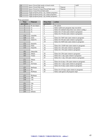| 50   | Sensor: Forced Safe mode at closed switch     |         | 0xFF |
|------|-----------------------------------------------|---------|------|
|      | Sensor: Forced Safe mode                      | Timeout |      |
| 52   | Sensor: Forced or Cancel Forced Safe mode     | Timeout |      |
|      | Sensor: Cancel Forced Safe mode               |         |      |
| 54   | Toggle program group 1 (eg. summer programs)  |         |      |
| 55   | Toggle program group 2 (eg. winter programs)  |         |      |
| - 56 | Toggle program group 3 (eg. holiday programs) |         |      |

# Time parameter

| <b>Time</b>      | <b>Timeout</b>   | <b>Sleep time</b> | a                       |
|------------------|------------------|-------------------|-------------------------|
| parameter        |                  | parameter         |                         |
| $\boldsymbol{0}$ | 0s (no timer)    | $\boldsymbol{0}$  | N                       |
| $\mathbf{1}$     | 1s               | 1                 | S <sub>0</sub>          |
| $\overline{2}$   | 2s               | $\overline{c}$    | $\overline{S}$          |
| 3                | 3s               | 3                 | $\overline{\mathbf{S}}$ |
| $\cdots$         |                  | $\overline{4}$    | S <sub>0</sub>          |
| 119              | 1 min59s         |                   | $\ldots$                |
| 120              | 2min             | 17                | $\overline{S}$          |
| 121              | 2min15s          | 18                | S <sub>0</sub>          |
| $\cdots$         |                  | 19                | $\overline{S}$          |
| 131              | 4min45s          |                   | $\cdot \cdot$           |
| 132              | 5min             | 33                | S <sub>0</sub>          |
| 133              | $5\text{min}30s$ | 34                | S <sub>0</sub>          |
|                  |                  | 35                | S <sub>0</sub>          |
| 181              | 29min30s         | $\cdots$          | <u></u>                 |
| 182              | 30min            | 45                | $\overline{S}$          |
| 183              | 31min            | 46                | $\overline{\mathbf{S}}$ |
| $\cdots$         |                  | 47                | S <sub>0</sub>          |
| 211              | 59min            |                   | <u></u>                 |
| 212              | 1 <sub>h</sub>   | 57                | S <sub>0</sub>          |
| 213              | 1h15min          | 58                | $\overline{S}$          |
| $\ldots$         |                  | 59                | S <sub>0</sub>          |
| 227              | $4h45$ min       |                   |                         |
| 228              | 5h               | 96                | S <sub>0</sub>          |
| 229              | 5h30min          | 97                | S <sub>0</sub>          |
| $\ldots$         |                  |                   |                         |
| 237              | 9h30min          |                   |                         |
| 238              | 10 <sub>h</sub>  |                   |                         |
| 239              | 11h              |                   |                         |
| $\ldots$         |                  |                   |                         |
| 251              | 23h              |                   |                         |
| 252              | 1d               |                   |                         |
| 253              | 2d               |                   |                         |
| 254              | 3d               |                   |                         |
| 255              | Infinite         |                   |                         |

| <b>Time</b>             | <b>Timeout</b>          | <b>Sleep time</b> | action                                             |
|-------------------------|-------------------------|-------------------|----------------------------------------------------|
| ameter                  |                         | parameter         |                                                    |
| $\theta$                | 0s (no timer)           | $\Omega$          | No action                                          |
| $\overline{1}$          | 1s                      |                   | Select until next program step execution           |
| $\overline{2}$          | 2s                      | $\overline{2}$    | Select for default sleep time (see sensor config.) |
| $\overline{\mathbf{3}}$ | 3s                      | 3                 | Select for 15 min (auto return to program)         |
| $\cdots$                |                         | $\overline{4}$    | Select for 30 min (auto return to program)         |
| 119                     | 1min59s                 | $\cdots$          |                                                    |
| 120                     | 2min                    | 17                | Select for 3h45 min (auto return to program)       |
| 121                     | 2min15s                 | 18                | Select for 4h min (auto return to program)         |
|                         |                         | 19                | Select for 4h30 min (auto return to program)       |
| 131                     | 4min45s                 |                   |                                                    |
| 132                     | 5min                    | 33                | Select for 11h30 min (auto return to program)      |
| 133                     | $5\text{min}30\text{s}$ | 34                | Select for 12h (auto return to program)            |
| $\cdots$                |                         | 35                | Select for 13h (auto return to program)            |
| 181                     | 29min30s                |                   |                                                    |
| 182                     | 30min                   | 45                | Select for 23h (auto return to program)            |
| 183                     | 31min                   | 46                | Select for 1 day (auto return to program)          |
| $\cdots$                |                         | 47                | Select for 1 day 12h (auto return to program)      |
| 211                     | 59min                   | $\cdots$          |                                                    |
| 212                     | 1 <sub>h</sub>          | 57                | Select for 6 days 12h (auto return to program)     |
| 213                     | 1h15min                 | 58                | Select for 7 days (auto return to program)         |
| $\cdots$                |                         | 59                | Select for 8 days (auto return to program)         |
| 227                     | 4h45min                 |                   |                                                    |
| 228                     | 5 <sub>h</sub>          | 96                | Select for 45 days (auto return to program)        |
| 229                     | $5h30\overline{min}$    | 97                | Select and ignore all program steps                |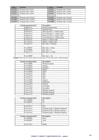| <b>Address</b> | <b>Contents</b>       | <b>Address</b>   | <b>Contents</b>       |
|----------------|-----------------------|------------------|-----------------------|
| H'0200'        | Program step 1 byte1  | H'0201'          | Program step 1 byte2  |
| H'0202'        | Program step 1 byte3  | H'0203'          | Program step 1 byte4  |
| H'0204'        | Program step 1 byte5  | H'0205'          | Program step 1 byte6  |
| $\cdots$       | $\cdot \cdot$         | $\bullet\bullet$ | $\cdot$               |
| H'03B6'        | Program step 74 byte1 | H'03B7'          | Program step 74 byte2 |
| H'03B8'        | Program step 74 byte3 | H'03B9'          | Program step 74 byte4 |
| H'03BA'        | Program step 74 byte5 | H'03BB'          | Program step 74 byte6 |

| Contents program byte1 | <b>Description</b>                 |
|------------------------|------------------------------------|
| B'000xxxxx'            | Disable program step               |
| B'001xxxxx'            | Absolute time                      |
| B'010xxxxx'            | Wake up time $1 +$ relative time   |
| B'011xxxxx'            | Go to bed time $1 +$ relative time |
| B'100xxxxx'            | Wake up time $2 +$ relative time   |
| B'101xxxxx'            | Go to bed time $2 +$ relative time |
| B'110xxxxx'            | Sunrise + relative time            |
| B'111xxxxx'            | Sunset $+$ relative time           |
| B'xxxx01111'           | Rel. time $= 3h45$ min             |
|                        |                                    |
| $B'$ xxx00001'         | Rel. time $= 15$ min               |
| $B'$ xxx00000 $'$      | Rel. time $= 0$                    |
| B'xxx11111'            | Rel. time $= -15$ min              |
| .                      |                                    |
| $B'$ xxx $10000'$      | Rel. time $= -4h$                  |
|                        |                                    |

**Remark:** Wake up, Go to bed, sunrise & sunset time are only allowed for weekly programs

| Contents program byte2 | <b>Description</b> |
|------------------------|--------------------|
| B'xxxx0000'            | Weekly program     |
| B'xxxx0001'            | January            |
| B'xxxx0010'            | February           |
| B'xxxx0011'            | March              |
| B'xxxx0100'            | April              |
| B'xxxx0101'            | May                |
| B'xxxx0110'            | June               |
| B'xxxx0111'            | July               |
| B'xxxx1000'            | August             |
| B'xxxx1001'            | September          |
| B'xxxx1010'            | October            |
| B'xxxx1011'            | November           |
| B'xxxx1100'            | December           |
| B'xxxx1101'            | Monthly program    |
| B'xxxx1110'            | Monthly program    |
| B'xxxx1111'            | Monthly program    |

| Contents program byte3 | <b>Description</b>                |
|------------------------|-----------------------------------|
| B'xxx00000'            | 0h                                |
| B'xxx00001'            | 1h                                |
| $\cdots$               | $\cdots$                          |
| $B'$ xxx $10111'$      | 23h                               |
| B'xx1xxxx'             | Program group 1 (Summer program)  |
| B'x1xxxxxx'            | Program group 2 (Winter program)  |
| B'1xxxxxx'             | Program group 3 (Holiday program) |

| Contents program byte4 | <b>Description</b> |
|------------------------|--------------------|
| B'xx000000'            | 0 <sub>min</sub>   |
| B'xx000001'            | 1 min              |
| $\cdots$               | $\cdots$           |
| B'xx111011'            | 59 <sub>min</sub>  |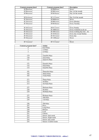| Contents program byte4 | Contents program byte2 | <b>Description</b>       |
|------------------------|------------------------|--------------------------|
| B'00xxxxxx'            | B'0000xxxx'            | Never                    |
| B'00xxxxx'             | B'0001xxxx'            | Day 1of the month        |
| B'00xxxxx'             | B'0010xxxx'            | Day 2of the month        |
| $\cdots$               | $\cdots$               | .                        |
| B'01xxxxxx'            | B'1111xxx'             | Day 31 of the month      |
| B'10xxxxxx'            | B'0000xxxx'            | Never                    |
| B'10xxxxxx'            | B'0001xxxx'            | Every Monday             |
| B'10xxxxxx'            | B'0010xxxx'            | <b>Every Tuesday</b>     |
| $\cdots$               | $\cdots$               | $\cdots$                 |
| B'10xxxxxx'            | B'0111xxxx'            | <b>Every Sunday</b>      |
| B'10xxxxx'             | B'1000xxxx'            | Every weekend (sa & su)  |
| B'10xxxxxx'            | B'1001xxxx'            | Every working day (mofr) |
| B'10xxxxxx'            | B'1010xxxx'            | Every day except Sunday  |
| B'10xxxxx'             | B'1011xxxx'            | Every day                |
| B'10xxxxxx'            | B'1100xxxx'            | Never                    |
| $\cdots$               | $\cdots$               | $\cdots$                 |
| B'11xxxxxx'            | B'1111xxxx'            | Never                    |

| Contents program byte5 | <b>Action</b>              |
|------------------------|----------------------------|
| 0                      | 0s25 Pulse                 |
| $\overline{1}$         | 1s Pulse                   |
| $\overline{2}$         | 2s Pulse                   |
|                        | $\cdots$                   |
| 119                    | 1min59s Pulse              |
| 120                    | 2min Pulse                 |
| 121                    | 2min15s Pulse              |
|                        |                            |
| 131                    | 4min45s Pulse              |
| 132                    | 5min Pulse                 |
| 133                    | 5min30s Pulse              |
| $\cdots$               | $\cdots$                   |
| 181                    | 29min30s Pulse             |
| 182                    | 30min Pulse                |
| 183                    | 31min Pulse                |
| $\cdots$               | $\cdots$                   |
| 211                    | 59min Pulse                |
| 212                    | 1h Pulse                   |
| 213                    | $\overline{1h}15min$ Pulse |
| $\ldots$               |                            |
| 227                    | 4h45min Pulse              |
| 228                    | 5h Pulse                   |
| 229                    | 5h30min Pulse              |
| $\ldots$               |                            |
| 237                    | 9h30min Pulse              |
| 238                    | 10h Pulse                  |
| 239                    | 11h Pulse                  |
| $\ldots$               | $\cdots$                   |
| 246                    | 18h Pulse                  |
| 247                    | Press                      |
| 248                    | Long Press                 |
| 249                    | Release                    |
| $\overline{250}$       | Lock                       |
| $\overline{251}$       | Unlock                     |
| $\overline{252}$       | Sensor: Safe mode          |
| 253                    | Sensor: Night mode         |
| 254                    | Sensor: Day mode           |
| 255                    | Sensor: Comfort mode       |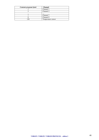| Contents program byte6 | <b>Channel</b>     |
|------------------------|--------------------|
|                        | Channel 1          |
|                        | Channel 2          |
| $\cdot$ .              | $\cdots$           |
|                        | Channel 7          |
|                        | Channel 8          |
| 28                     | Temperature sensor |